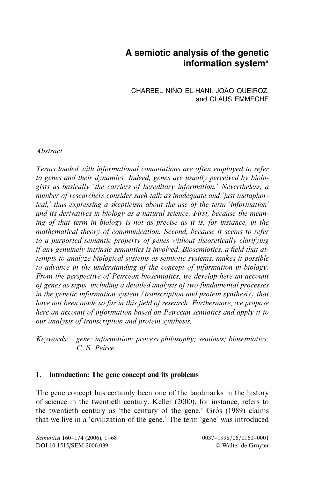# A semiotic analysis of the genetic information system\*

CHARBEL NIÑO EL-HANI, JOÃO QUEIROZ, and CLAUS EMMECHE

# Abstract

Terms loaded with informational connotations are often employed to refer to genes and their dynamics. Indeed, genes are usually perceived by biologists as basically 'the carriers of hereditary information.' Nevertheless, a number of researchers consider such talk as inadequate and 'just metaphorical,' thus expressing a skepticism about the use of the term 'information' and its derivatives in biology as a natural science. First, because the meaning of that term in biology is not as precise as it is, for instance, in the mathematical theory of communication. Second, because it seems to refer to a purported semantic property of genes without theoretically clarifying if any genuinely intrinsic semantics is involved. Biosemiotics, a field that attempts to analyze biological systems as semiotic systems, makes it possible to advance in the understanding of the concept of information in biology. From the perspective of Peircean biosemiotics, we develop here an account of genes as signs, including a detailed analysis of two fundamental processes in the genetic information system (transcription and protein synthesis) that have not been made so far in this field of research. Furthermore, we propose here an account of information based on Peircean semiotics and apply it to our analysis of transcription and protein synthesis.

Keywords: gene; information; process philosophy; semiosis; biosemiotics; C. S. Peirce.

#### 1. Introduction: The gene concept and its problems

The gene concept has certainly been one of the landmarks in the history of science in the twentieth century. Keller (2000), for instance, refers to the twentieth century as 'the century of the gene.' Grós (1989) claims that we live in a 'civilization of the gene.' The term 'gene' was introduced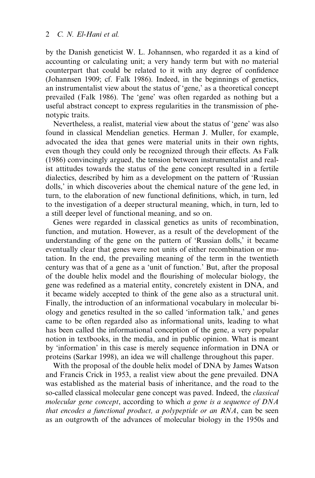by the Danish geneticist W. L. Johannsen, who regarded it as a kind of accounting or calculating unit; a very handy term but with no material counterpart that could be related to it with any degree of confidence (Johannsen 1909; cf. Falk 1986). Indeed, in the beginnings of genetics, an instrumentalist view about the status of 'gene,' as a theoretical concept prevailed (Falk 1986). The 'gene' was often regarded as nothing but a useful abstract concept to express regularities in the transmission of phenotypic traits.

Nevertheless, a realist, material view about the status of 'gene' was also found in classical Mendelian genetics. Herman J. Muller, for example, advocated the idea that genes were material units in their own rights, even though they could only be recognized through their effects. As Falk (1986) convincingly argued, the tension between instrumentalist and realist attitudes towards the status of the gene concept resulted in a fertile dialectics, described by him as a development on the pattern of 'Russian dolls,' in which discoveries about the chemical nature of the gene led, in turn, to the elaboration of new functional definitions, which, in turn, led to the investigation of a deeper structural meaning, which, in turn, led to a still deeper level of functional meaning, and so on.

Genes were regarded in classical genetics as units of recombination, function, and mutation. However, as a result of the development of the understanding of the gene on the pattern of 'Russian dolls,' it became eventually clear that genes were not units of either recombination or mutation. In the end, the prevailing meaning of the term in the twentieth century was that of a gene as a 'unit of function.' But, after the proposal of the double helix model and the flourishing of molecular biology, the gene was redefined as a material entity, concretely existent in DNA, and it became widely accepted to think of the gene also as a structural unit. Finally, the introduction of an informational vocabulary in molecular biology and genetics resulted in the so called 'information talk,' and genes came to be often regarded also as informational units, leading to what has been called the informational conception of the gene, a very popular notion in textbooks, in the media, and in public opinion. What is meant by 'information' in this case is merely sequence information in DNA or proteins (Sarkar 1998), an idea we will challenge throughout this paper.

With the proposal of the double helix model of DNA by James Watson and Francis Crick in 1953, a realist view about the gene prevailed. DNA was established as the material basis of inheritance, and the road to the so-called classical molecular gene concept was paved. Indeed, the classical molecular gene concept, according to which a gene is a sequence of DNA that encodes a functional product, a polypeptide or an RNA, can be seen as an outgrowth of the advances of molecular biology in the 1950s and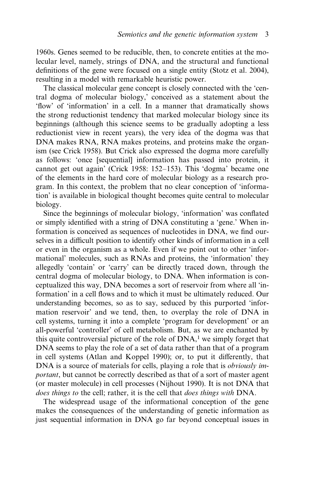1960s. Genes seemed to be reducible, then, to concrete entities at the molecular level, namely, strings of DNA, and the structural and functional definitions of the gene were focused on a single entity (Stotz et al. 2004), resulting in a model with remarkable heuristic power.

The classical molecular gene concept is closely connected with the 'central dogma of molecular biology,' conceived as a statement about the 'flow' of 'information' in a cell. In a manner that dramatically shows the strong reductionist tendency that marked molecular biology since its beginnings (although this science seems to be gradually adopting a less reductionist view in recent years), the very idea of the dogma was that DNA makes RNA, RNA makes proteins, and proteins make the organism (see Crick 1958). But Crick also expressed the dogma more carefully as follows: 'once [sequential] information has passed into protein, it cannot get out again' (Crick 1958: 152–153). This 'dogma' became one of the elements in the hard core of molecular biology as a research program. In this context, the problem that no clear conception of 'information' is available in biological thought becomes quite central to molecular biology.

Since the beginnings of molecular biology, 'information' was conflated or simply identified with a string of DNA constituting a 'gene.' When information is conceived as sequences of nucleotides in DNA, we find ourselves in a difficult position to identify other kinds of information in a cell or even in the organism as a whole. Even if we point out to other 'informational' molecules, such as RNAs and proteins, the 'information' they allegedly 'contain' or 'carry' can be directly traced down, through the central dogma of molecular biology, to DNA. When information is conceptualized this way, DNA becomes a sort of reservoir from where all 'information' in a cell flows and to which it must be ultimately reduced. Our understanding becomes, so as to say, seduced by this purported 'information reservoir' and we tend, then, to overplay the role of DNA in cell systems, turning it into a complete 'program for development' or an all-powerful 'controller' of cell metabolism. But, as we are enchanted by this quite controversial picture of the role of  $DNA<sub>1</sub><sup>1</sup>$  we simply forget that DNA seems to play the role of a set of data rather than that of a program in cell systems (Atlan and Koppel 1990); or, to put it differently, that DNA is a source of materials for cells, playing a role that is *obviously im*portant, but cannot be correctly described as that of a sort of master agent (or master molecule) in cell processes (Nijhout 1990). It is not DNA that does things to the cell; rather, it is the cell that does things with DNA.

The widespread usage of the informational conception of the gene makes the consequences of the understanding of genetic information as just sequential information in DNA go far beyond conceptual issues in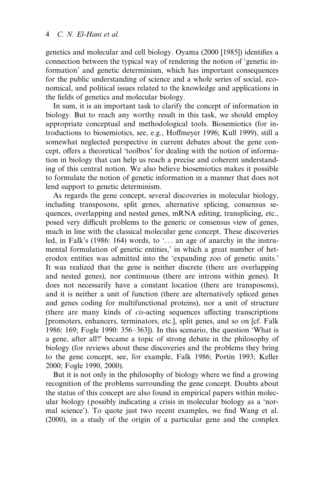genetics and molecular and cell biology. Oyama (2000 [1985]) identifies a connection between the typical way of rendering the notion of 'genetic information' and genetic determinism, which has important consequences for the public understanding of science and a whole series of social, economical, and political issues related to the knowledge and applications in the fields of genetics and molecular biology.

In sum, it is an important task to clarify the concept of information in biology. But to reach any worthy result in this task, we should employ appropriate conceptual and methodological tools. Biosemiotics (for introductions to biosemiotics, see, e.g., Hoffmeyer 1996; Kull 1999), still a somewhat neglected perspective in current debates about the gene concept, offers a theoretical 'toolbox' for dealing with the notion of information in biology that can help us reach a precise and coherent understanding of this central notion. We also believe biosemiotics makes it possible to formulate the notion of genetic information in a manner that does not lend support to genetic determinism.

As regards the gene concept, several discoveries in molecular biology, including transposons, split genes, alternative splicing, consensus sequences, overlapping and nested genes, mRNA editing, transplicing, etc., posed very difficult problems to the generic or consensus view of genes, much in line with the classical molecular gene concept. These discoveries led, in Falk's (1986: 164) words, to '... an age of anarchy in the instrumental formulation of genetic entities,' in which a great number of heterodox entities was admitted into the 'expanding zoo of genetic units.' It was realized that the gene is neither discrete (there are overlapping and nested genes), nor continuous (there are introns within genes). It does not necessarily have a constant location (there are transposons), and it is neither a unit of function (there are alternatively spliced genes and genes coding for multifunctional proteins), nor a unit of structure (there are many kinds of *cis*-acting sequences affecting transcriptions [promoters, enhancers, terminators, etc.], split genes, and so on [cf. Falk 1986: 169; Fogle 1990: 356–363]). In this scenario, the question 'What is a gene, after all?' became a topic of strong debate in the philosophy of biology (for reviews about these discoveries and the problems they bring to the gene concept, see, for example, Falk 1986; Portin 1993; Keller 2000; Fogle 1990, 2000).

But it is not only in the philosophy of biology where we find a growing recognition of the problems surrounding the gene concept. Doubts about the status of this concept are also found in empirical papers within molecular biology (possibly indicating a crisis in molecular biology as a 'normal science'). To quote just two recent examples, we find Wang et al. (2000), in a study of the origin of a particular gene and the complex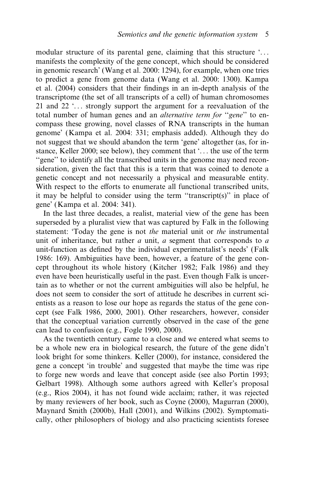modular structure of its parental gene, claiming that this structure '... manifests the complexity of the gene concept, which should be considered in genomic research' (Wang et al. 2000: 1294), for example, when one tries to predict a gene from genome data (Wang et al. 2000: 1300). Kampa et al. (2004) considers that their findings in an in-depth analysis of the transcriptome (the set of all transcripts of a cell) of human chromosomes 21 and 22  $\ldots$  strongly support the argument for a reevaluation of the total number of human genes and an alternative term for ''gene'' to encompass these growing, novel classes of RNA transcripts in the human genome' (Kampa et al. 2004: 331; emphasis added). Although they do not suggest that we should abandon the term 'gene' altogether (as, for instance, Keller 2000; see below), they comment that '. . . the use of the term ''gene'' to identify all the transcribed units in the genome may need reconsideration, given the fact that this is a term that was coined to denote a genetic concept and not necessarily a physical and measurable entity. With respect to the efforts to enumerate all functional transcribed units, it may be helpful to consider using the term ''transcript(s)'' in place of gene' (Kampa et al. 2004: 341).

In the last three decades, a realist, material view of the gene has been superseded by a pluralist view that was captured by Falk in the following statement: 'Today the gene is not *the* material unit or *the* instrumental unit of inheritance, but rather  $a$  unit,  $a$  segment that corresponds to  $a$ unit-function as defined by the individual experimentalist's needs' (Falk 1986: 169). Ambiguities have been, however, a feature of the gene concept throughout its whole history (Kitcher 1982; Falk 1986) and they even have been heuristically useful in the past. Even though Falk is uncertain as to whether or not the current ambiguities will also be helpful, he does not seem to consider the sort of attitude he describes in current scientists as a reason to lose our hope as regards the status of the gene concept (see Falk 1986, 2000, 2001). Other researchers, however, consider that the conceptual variation currently observed in the case of the gene can lead to confusion (e.g., Fogle 1990, 2000).

As the twentieth century came to a close and we entered what seems to be a whole new era in biological research, the future of the gene didn't look bright for some thinkers. Keller (2000), for instance, considered the gene a concept 'in trouble' and suggested that maybe the time was ripe to forge new words and leave that concept aside (see also Portin 1993; Gelbart 1998). Although some authors agreed with Keller's proposal (e.g., Rios 2004), it has not found wide acclaim; rather, it was rejected by many reviewers of her book, such as Coyne (2000), Magurran (2000), Maynard Smith (2000b), Hall (2001), and Wilkins (2002). Symptomatically, other philosophers of biology and also practicing scientists foresee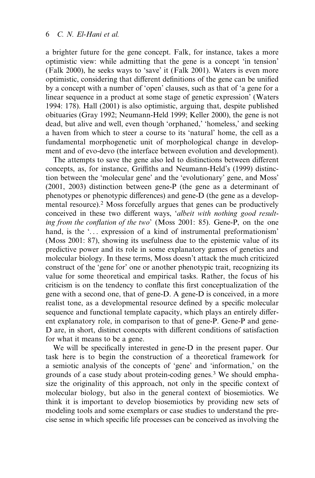a brighter future for the gene concept. Falk, for instance, takes a more optimistic view: while admitting that the gene is a concept 'in tension' (Falk 2000), he seeks ways to 'save' it (Falk 2001). Waters is even more optimistic, considering that different definitions of the gene can be unified by a concept with a number of 'open' clauses, such as that of 'a gene for a linear sequence in a product at some stage of genetic expression' (Waters 1994: 178). Hall (2001) is also optimistic, arguing that, despite published obituaries (Gray 1992; Neumann-Held 1999; Keller 2000), the gene is not dead, but alive and well, even though 'orphaned,' 'homeless,' and seeking a haven from which to steer a course to its 'natural' home, the cell as a fundamental morphogenetic unit of morphological change in development and of evo-devo (the interface between evolution and development).

The attempts to save the gene also led to distinctions between different concepts, as, for instance, Griffiths and Neumann-Held's (1999) distinction between the 'molecular gene' and the 'evolutionary' gene, and Moss' (2001, 2003) distinction between gene-P (the gene as a determinant of phenotypes or phenotypic differences) and gene-D (the gene as a developmental resource).<sup>2</sup> Moss forcefully argues that genes can be productively conceived in these two different ways, 'albeit with nothing good resulting from the conflation of the two' (Moss 2001: 85). Gene-P, on the one hand, is the '... expression of a kind of instrumental preformationism' (Moss 2001: 87), showing its usefulness due to the epistemic value of its predictive power and its role in some explanatory games of genetics and molecular biology. In these terms, Moss doesn't attack the much criticized construct of the 'gene for' one or another phenotypic trait, recognizing its value for some theoretical and empirical tasks. Rather, the focus of his criticism is on the tendency to conflate this first conceptualization of the gene with a second one, that of gene-D. A gene-D is conceived, in a more realist tone, as a developmental resource defined by a specific molecular sequence and functional template capacity, which plays an entirely different explanatory role, in comparison to that of gene-P. Gene-P and gene-D are, in short, distinct concepts with different conditions of satisfaction for what it means to be a gene.

We will be specifically interested in gene-D in the present paper. Our task here is to begin the construction of a theoretical framework for a semiotic analysis of the concepts of 'gene' and 'information,' on the grounds of a case study about protein-coding genes.<sup>3</sup> We should emphasize the originality of this approach, not only in the specific context of molecular biology, but also in the general context of biosemiotics. We think it is important to develop biosemiotics by providing new sets of modeling tools and some exemplars or case studies to understand the precise sense in which specific life processes can be conceived as involving the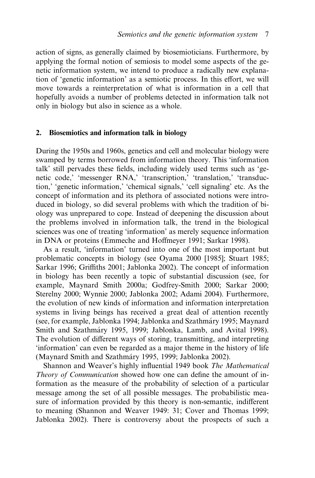action of signs, as generally claimed by biosemioticians. Furthermore, by applying the formal notion of semiosis to model some aspects of the genetic information system, we intend to produce a radically new explanation of 'genetic information' as a semiotic process. In this effort, we will move towards a reinterpretation of what is information in a cell that hopefully avoids a number of problems detected in information talk not only in biology but also in science as a whole.

#### 2. Biosemiotics and information talk in biology

During the 1950s and 1960s, genetics and cell and molecular biology were swamped by terms borrowed from information theory. This 'information talk' still pervades these fields, including widely used terms such as 'genetic code,' 'messenger RNA,' 'transcription,' 'translation,' 'transduction,' 'genetic information,' 'chemical signals,' 'cell signaling' etc. As the concept of information and its plethora of associated notions were introduced in biology, so did several problems with which the tradition of biology was unprepared to cope. Instead of deepening the discussion about the problems involved in information talk, the trend in the biological sciences was one of treating 'information' as merely sequence information in DNA or proteins (Emmeche and Hoffmeyer 1991; Sarkar 1998).

As a result, 'information' turned into one of the most important but problematic concepts in biology (see Oyama 2000 [1985]; Stuart 1985; Sarkar 1996; Griffiths 2001; Jablonka 2002). The concept of information in biology has been recently a topic of substantial discussion (see, for example, Maynard Smith 2000a; Godfrey-Smith 2000; Sarkar 2000; Sterelny 2000; Wynnie 2000; Jablonka 2002; Adami 2004). Furthermore, the evolution of new kinds of information and information interpretation systems in living beings has received a great deal of attention recently (see, for example, Jablonka 1994; Jablonka and Szathmáry 1995; Maynard Smith and Szathmáry 1995, 1999; Jablonka, Lamb, and Avital 1998). The evolution of different ways of storing, transmitting, and interpreting 'information' can even be regarded as a major theme in the history of life (Maynard Smith and Szathmáry 1995, 1999; Jablonka 2002).

Shannon and Weaver's highly influential 1949 book The Mathematical Theory of Communication showed how one can define the amount of information as the measure of the probability of selection of a particular message among the set of all possible messages. The probabilistic measure of information provided by this theory is non-semantic, indifferent to meaning (Shannon and Weaver 1949: 31; Cover and Thomas 1999; Jablonka 2002). There is controversy about the prospects of such a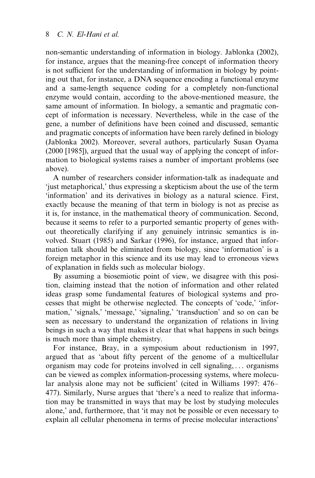non-semantic understanding of information in biology. Jablonka (2002), for instance, argues that the meaning-free concept of information theory is not sufficient for the understanding of information in biology by pointing out that, for instance, a DNA sequence encoding a functional enzyme and a same-length sequence coding for a completely non-functional enzyme would contain, according to the above-mentioned measure, the same amount of information. In biology, a semantic and pragmatic concept of information is necessary. Nevertheless, while in the case of the gene, a number of definitions have been coined and discussed, semantic and pragmatic concepts of information have been rarely defined in biology (Jablonka 2002). Moreover, several authors, particularly Susan Oyama (2000 [1985]), argued that the usual way of applying the concept of information to biological systems raises a number of important problems (see above).

A number of researchers consider information-talk as inadequate and 'just metaphorical,' thus expressing a skepticism about the use of the term 'information' and its derivatives in biology as a natural science. First, exactly because the meaning of that term in biology is not as precise as it is, for instance, in the mathematical theory of communication. Second, because it seems to refer to a purported semantic property of genes without theoretically clarifying if any genuinely intrinsic semantics is involved. Stuart (1985) and Sarkar (1996), for instance, argued that information talk should be eliminated from biology, since 'information' is a foreign metaphor in this science and its use may lead to erroneous views of explanation in fields such as molecular biology.

By assuming a biosemiotic point of view, we disagree with this position, claiming instead that the notion of information and other related ideas grasp some fundamental features of biological systems and processes that might be otherwise neglected. The concepts of 'code,' 'information,' 'signals,' 'message,' 'signaling,' 'transduction' and so on can be seen as necessary to understand the organization of relations in living beings in such a way that makes it clear that what happens in such beings is much more than simple chemistry.

For instance, Bray, in a symposium about reductionism in 1997, argued that as 'about fifty percent of the genome of a multicellular organism may code for proteins involved in cell signaling,... organisms can be viewed as complex information-processing systems, where molecular analysis alone may not be sufficient' (cited in Williams 1997: 476– 477). Similarly, Nurse argues that 'there's a need to realize that information may be transmitted in ways that may be lost by studying molecules alone,' and, furthermore, that 'it may not be possible or even necessary to explain all cellular phenomena in terms of precise molecular interactions'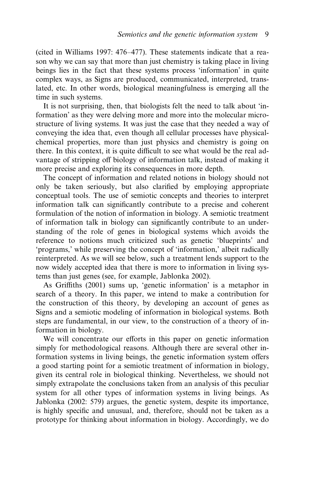(cited in Williams 1997: 476–477). These statements indicate that a reason why we can say that more than just chemistry is taking place in living beings lies in the fact that these systems process 'information' in quite complex ways, as Signs are produced, communicated, interpreted, translated, etc. In other words, biological meaningfulness is emerging all the time in such systems.

It is not surprising, then, that biologists felt the need to talk about 'information' as they were delving more and more into the molecular microstructure of living systems. It was just the case that they needed a way of conveying the idea that, even though all cellular processes have physicalchemical properties, more than just physics and chemistry is going on there. In this context, it is quite difficult to see what would be the real advantage of stripping off biology of information talk, instead of making it more precise and exploring its consequences in more depth.

The concept of information and related notions in biology should not only be taken seriously, but also clarified by employing appropriate conceptual tools. The use of semiotic concepts and theories to interpret information talk can significantly contribute to a precise and coherent formulation of the notion of information in biology. A semiotic treatment of information talk in biology can significantly contribute to an understanding of the role of genes in biological systems which avoids the reference to notions much criticized such as genetic 'blueprints' and 'programs,' while preserving the concept of 'information,' albeit radically reinterpreted. As we will see below, such a treatment lends support to the now widely accepted idea that there is more to information in living systems than just genes (see, for example, Jablonka 2002).

As Griffiths (2001) sums up, 'genetic information' is a metaphor in search of a theory. In this paper, we intend to make a contribution for the construction of this theory, by developing an account of genes as Signs and a semiotic modeling of information in biological systems. Both steps are fundamental, in our view, to the construction of a theory of information in biology.

We will concentrate our efforts in this paper on genetic information simply for methodological reasons. Although there are several other information systems in living beings, the genetic information system offers a good starting point for a semiotic treatment of information in biology, given its central role in biological thinking. Nevertheless, we should not simply extrapolate the conclusions taken from an analysis of this peculiar system for all other types of information systems in living beings. As Jablonka (2002: 579) argues, the genetic system, despite its importance, is highly specific and unusual, and, therefore, should not be taken as a prototype for thinking about information in biology. Accordingly, we do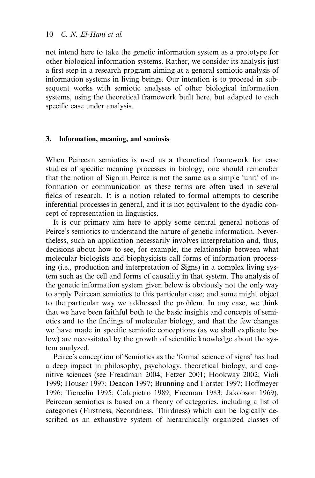not intend here to take the genetic information system as a prototype for other biological information systems. Rather, we consider its analysis just a first step in a research program aiming at a general semiotic analysis of information systems in living beings. Our intention is to proceed in subsequent works with semiotic analyses of other biological information systems, using the theoretical framework built here, but adapted to each specific case under analysis.

#### 3. Information, meaning, and semiosis

When Peircean semiotics is used as a theoretical framework for case studies of specific meaning processes in biology, one should remember that the notion of Sign in Peirce is not the same as a simple 'unit' of information or communication as these terms are often used in several fields of research. It is a notion related to formal attempts to describe inferential processes in general, and it is not equivalent to the dyadic concept of representation in linguistics.

It is our primary aim here to apply some central general notions of Peirce's semiotics to understand the nature of genetic information. Nevertheless, such an application necessarily involves interpretation and, thus, decisions about how to see, for example, the relationship between what molecular biologists and biophysicists call forms of information processing (i.e., production and interpretation of Signs) in a complex living system such as the cell and forms of causality in that system. The analysis of the genetic information system given below is obviously not the only way to apply Peircean semiotics to this particular case; and some might object to the particular way we addressed the problem. In any case, we think that we have been faithful both to the basic insights and concepts of semiotics and to the findings of molecular biology, and that the few changes we have made in specific semiotic conceptions (as we shall explicate below) are necessitated by the growth of scientific knowledge about the system analyzed.

Peirce's conception of Semiotics as the 'formal science of signs' has had a deep impact in philosophy, psychology, theoretical biology, and cognitive sciences (see Freadman 2004; Fetzer 2001; Hookway 2002; Violi 1999; Houser 1997; Deacon 1997; Brunning and Forster 1997; Hoffmeyer 1996; Tiercelin 1995; Colapietro 1989; Freeman 1983; Jakobson 1969). Peircean semiotics is based on a theory of categories, including a list of categories (Firstness, Secondness, Thirdness) which can be logically described as an exhaustive system of hierarchically organized classes of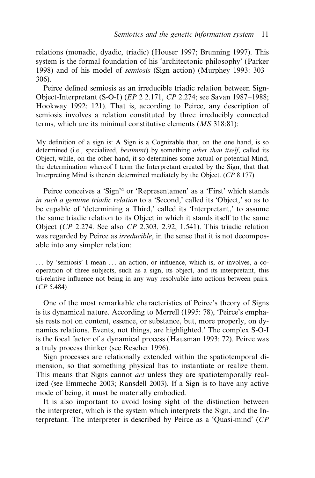relations (monadic, dyadic, triadic) (Houser 1997; Brunning 1997). This system is the formal foundation of his 'architectonic philosophy' (Parker 1998) and of his model of semiosis (Sign action) (Murphey 1993: 303– 306).

Peirce defined semiosis as an irreducible triadic relation between Sign-Object-Interpretant (S-O-I) (EP 2 2.171, CP 2.274; see Savan 1987–1988; Hookway 1992: 121). That is, according to Peirce, any description of semiosis involves a relation constituted by three irreducibly connected terms, which are its minimal constitutive elements (MS 318:81):

My definition of a sign is: A Sign is a Cognizable that, on the one hand, is so determined (i.e., specialized, *bestimmt*) by something *other than itself*, called its Object, while, on the other hand, it so determines some actual or potential Mind, the determination whereof I term the Interpretant created by the Sign, that that Interpreting Mind is therein determined mediately by the Object.  $(CP 8.177)$ 

Peirce conceives a 'Sign'<sup>4</sup> or 'Representamen' as a 'First' which stands in such a genuine triadic relation to a 'Second,' called its 'Object,' so as to be capable of 'determining a Third,' called its 'Interpretant,' to assume the same triadic relation to its Object in which it stands itself to the same Object (CP 2.274. See also CP 2.303, 2.92, 1.541). This triadic relation was regarded by Peirce as *irreducible*, in the sense that it is not decomposable into any simpler relation:

... by 'semiosis' I mean ... an action, or influence, which is, or involves, a cooperation of three subjects, such as a sign, its object, and its interpretant, this tri-relative influence not being in any way resolvable into actions between pairs. (CP 5.484)

One of the most remarkable characteristics of Peirce's theory of Signs is its dynamical nature. According to Merrell (1995: 78), 'Peirce's emphasis rests not on content, essence, or substance, but, more properly, on dynamics relations. Events, not things, are highlighted.' The complex S-O-I is the focal factor of a dynamical process (Hausman 1993: 72). Peirce was a truly process thinker (see Rescher 1996).

Sign processes are relationally extended within the spatiotemporal dimension, so that something physical has to instantiate or realize them. This means that Signs cannot *act* unless they are spatiotemporally realized (see Emmeche 2003; Ransdell 2003). If a Sign is to have any active mode of being, it must be materially embodied.

It is also important to avoid losing sight of the distinction between the interpreter, which is the system which interprets the Sign, and the Interpretant. The interpreter is described by Peirce as a 'Quasi-mind' (CP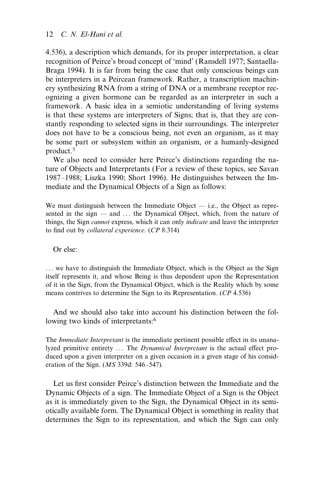4.536), a description which demands, for its proper interpretation, a clear recognition of Peirce's broad concept of 'mind' (Ransdell 1977; Santaella-Braga 1994). It is far from being the case that only conscious beings can be interpreters in a Peircean framework. Rather, a transcription machinery synthesizing RNA from a string of DNA or a membrane receptor recognizing a given hormone can be regarded as an interpreter in such a framework. A basic idea in a semiotic understanding of living systems is that these systems are interpreters of Signs; that is, that they are constantly responding to selected signs in their surroundings. The interpreter does not have to be a conscious being, not even an organism, as it may be some part or subsystem within an organism, or a humanly-designed product.<sup>5</sup>

We also need to consider here Peirce's distinctions regarding the nature of Objects and Interpretants (For a review of these topics, see Savan 1987–1988; Liszka 1990; Short 1996). He distinguishes between the Immediate and the Dynamical Objects of a Sign as follows:

We must distinguish between the Immediate Object  $-$  i.e., the Object as represented in the sign — and ... the Dynamical Object, which, from the nature of things, the Sign *cannot* express, which it can only *indicate* and leave the interpreter to find out by collateral experience. (CP 8.314)

Or else:

. . . we have to distinguish the Immediate Object, which is the Object as the Sign itself represents it, and whose Being is thus dependent upon the Representation of it in the Sign, from the Dynamical Object, which is the Reality which by some means contrives to determine the Sign to its Representation. (CP 4.536)

And we should also take into account his distinction between the following two kinds of interpretants:<sup>6</sup>

The *Immediate Interpretant* is the immediate pertinent possible effect in its unanalyzed primitive entirety ... The *Dynamical Interpretant* is the actual effect produced upon a given interpreter on a given occasion in a given stage of his consideration of the Sign. (MS 339d: 546–547).

Let us first consider Peirce's distinction between the Immediate and the Dynamic Objects of a sign. The Immediate Object of a Sign is the Object as it is immediately given to the Sign, the Dynamical Object in its semiotically available form. The Dynamical Object is something in reality that determines the Sign to its representation, and which the Sign can only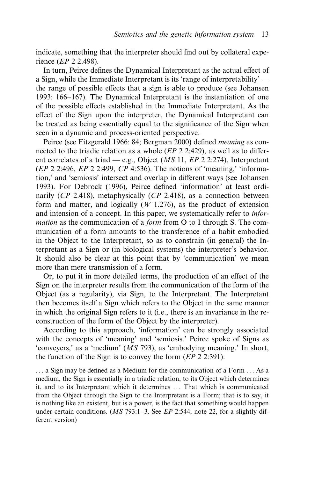indicate, something that the interpreter should find out by collateral experience (EP 2 2.498).

In turn, Peirce defines the Dynamical Interpretant as the actual effect of a Sign, while the Immediate Interpretant is its 'range of interpretability' the range of possible effects that a sign is able to produce (see Johansen 1993: 166–167). The Dynamical Interpretant is the instantiation of one of the possible effects established in the Immediate Interpretant. As the effect of the Sign upon the interpreter, the Dynamical Interpretant can be treated as being essentially equal to the significance of the Sign when seen in a dynamic and process-oriented perspective.

Peirce (see Fitzgerald 1966: 84; Bergman 2000) defined meaning as connected to the triadic relation as a whole  $(EP \ 2 \ 2:429)$ , as well as to different correlates of a triad — e.g., Object (*MS* 11, *EP* 2 2:274), Interpretant (EP 2 2:496, EP 2 2:499, CP 4:536). The notions of 'meaning,' 'information,' and 'semiosis' intersect and overlap in different ways (see Johansen 1993). For Debrock (1996), Peirce defined 'information' at least ordinarily (CP 2.418), metaphysically (CP 2.418), as a connection between form and matter, and logically  $(W 1.276)$ , as the product of extension and intension of a concept. In this paper, we systematically refer to information as the communication of a *form* from O to I through S. The communication of a form amounts to the transference of a habit embodied in the Object to the Interpretant, so as to constrain (in general) the Interpretant as a Sign or (in biological systems) the interpreter's behavior. It should also be clear at this point that by 'communication' we mean more than mere transmission of a form.

Or, to put it in more detailed terms, the production of an effect of the Sign on the interpreter results from the communication of the form of the Object (as a regularity), via Sign, to the Interpretant. The Interpretant then becomes itself a Sign which refers to the Object in the same manner in which the original Sign refers to it (i.e., there is an invariance in the reconstruction of the form of the Object by the interpreter).

According to this approach, 'information' can be strongly associated with the concepts of 'meaning' and 'semiosis.' Peirce spoke of Signs as 'conveyers,' as a 'medium' (MS 793), as 'embodying meaning.' In short, the function of the Sign is to convey the form  $E_{P}$  2 2:391):

. . . a Sign may be defined as a Medium for the communication of a Form . . . As a medium, the Sign is essentially in a triadic relation, to its Object which determines it, and to its Interpretant which it determines ... That which is communicated from the Object through the Sign to the Interpretant is a Form; that is to say, it is nothing like an existent, but is a power, is the fact that something would happen under certain conditions. (*MS* 793:1–3. See *EP* 2:544, note 22, for a slightly different version)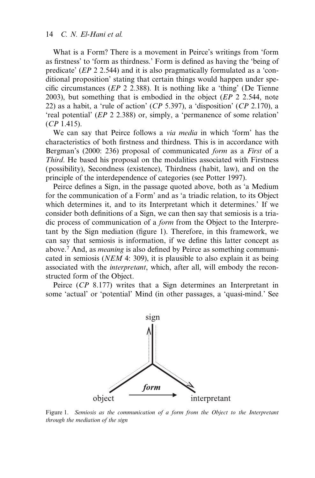What is a Form? There is a movement in Peirce's writings from 'form as firstness' to 'form as thirdness.' Form is defined as having the 'being of predicate' (EP 2 2.544) and it is also pragmatically formulated as a 'conditional proposition' stating that certain things would happen under specific circumstances (EP 2 2.388). It is nothing like a 'thing' (De Tienne 2003), but something that is embodied in the object  $E_{P}$  2 2.544, note 22) as a habit, a 'rule of action' ( $CP$  5.397), a 'disposition' ( $CP$  2.170), a 'real potential' (EP 2 2.388) or, simply, a 'permanence of some relation' (CP 1.415).

We can say that Peirce follows a *via media* in which 'form' has the characteristics of both firstness and thirdness. This is in accordance with Bergman's (2000: 236) proposal of communicated *form* as a *First* of a Third. He based his proposal on the modalities associated with Firstness (possibility), Secondness (existence), Thirdness (habit, law), and on the principle of the interdependence of categories (see Potter 1997).

Peirce defines a Sign, in the passage quoted above, both as 'a Medium for the communication of a Form' and as 'a triadic relation, to its Object which determines it, and to its Interpretant which it determines.' If we consider both definitions of a Sign, we can then say that semiosis is a triadic process of communication of a form from the Object to the Interpretant by the Sign mediation (figure 1). Therefore, in this framework, we can say that semiosis is information, if we define this latter concept as above.7 And, as meaning is also defined by Peirce as something communicated in semiosis (NEM 4: 309), it is plausible to also explain it as being associated with the interpretant, which, after all, will embody the reconstructed form of the Object.

Peirce (CP 8.177) writes that a Sign determines an Interpretant in some 'actual' or 'potential' Mind (in other passages, a 'quasi-mind.' See



Figure 1. Semiosis as the communication of a form from the Object to the Interpretant through the mediation of the sign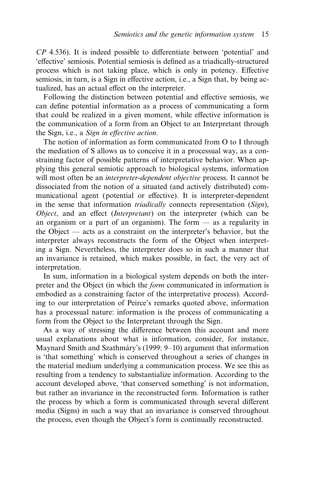$CP$  4.536). It is indeed possible to differentiate between 'potential' and 'effective' semiosis. Potential semiosis is defined as a triadically-structured process which is not taking place, which is only in potency. Effective semiosis, in turn, is a Sign in effective action, i.e., a Sign that, by being actualized, has an actual effect on the interpreter.

Following the distinction between potential and effective semiosis, we can define potential information as a process of communicating a form that could be realized in a given moment, while effective information is the communication of a form from an Object to an Interpretant through the Sign, i.e., a Sign in effective action.

The notion of information as form communicated from O to I through the mediation of S allows us to conceive it in a processual way, as a constraining factor of possible patterns of interpretative behavior. When applying this general semiotic approach to biological systems, information will most often be an *interpreter-dependent objective* process. It cannot be dissociated from the notion of a situated (and actively distributed) communicational agent (potential or effective). It is interpreter-dependent in the sense that information triadically connects representation (Sign), Object, and an effect  $(Interpretant)$  on the interpreter (which can be an organism or a part of an organism). The form — as a regularity in the Object — acts as a constraint on the interpreter's behavior, but the interpreter always reconstructs the form of the Object when interpreting a Sign. Nevertheless, the interpreter does so in such a manner that an invariance is retained, which makes possible, in fact, the very act of interpretation.

In sum, information in a biological system depends on both the interpreter and the Object (in which the form communicated in information is embodied as a constraining factor of the interpretative process). According to our interpretation of Peirce's remarks quoted above, information has a processual nature: information is the process of communicating a form from the Object to the Interpretant through the Sign.

As a way of stressing the difference between this account and more usual explanations about what is information, consider, for instance, Maynard Smith and Szathmáry's (1999: 9–10) argument that information is 'that something' which is conserved throughout a series of changes in the material medium underlying a communication process. We see this as resulting from a tendency to substantialize information. According to the account developed above, 'that conserved something' is not information, but rather an invariance in the reconstructed form. Information is rather the process by which a form is communicated through several different media (Signs) in such a way that an invariance is conserved throughout the process, even though the Object's form is continually reconstructed.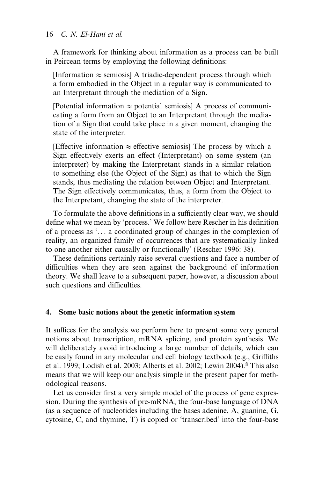A framework for thinking about information as a process can be built in Peircean terms by employing the following definitions:

IInformation  $\approx$  semiosis] A triadic-dependent process through which a form embodied in the Object in a regular way is communicated to an Interpretant through the mediation of a Sign.

[Potential information  $\approx$  potential semiosis] A process of communicating a form from an Object to an Interpretant through the mediation of a Sign that could take place in a given moment, changing the state of the interpreter.

[Effective information  $\approx$  effective semiosis] The process by which a Sign effectively exerts an effect (Interpretant) on some system (an interpreter) by making the Interpretant stands in a similar relation to something else (the Object of the Sign) as that to which the Sign stands, thus mediating the relation between Object and Interpretant. The Sign effectively communicates, thus, a form from the Object to the Interpretant, changing the state of the interpreter.

To formulate the above definitions in a sufficiently clear way, we should define what we mean by 'process.' We follow here Rescher in his definition of a process as '. . . a coordinated group of changes in the complexion of reality, an organized family of occurrences that are systematically linked to one another either causally or functionally' (Rescher 1996: 38).

These definitions certainly raise several questions and face a number of difficulties when they are seen against the background of information theory. We shall leave to a subsequent paper, however, a discussion about such questions and difficulties.

#### 4. Some basic notions about the genetic information system

It suffices for the analysis we perform here to present some very general notions about transcription, mRNA splicing, and protein synthesis. We will deliberately avoid introducing a large number of details, which can be easily found in any molecular and cell biology textbook (e.g., Griffiths et al. 1999; Lodish et al. 2003; Alberts et al. 2002; Lewin 2004).<sup>8</sup> This also means that we will keep our analysis simple in the present paper for methodological reasons.

Let us consider first a very simple model of the process of gene expression. During the synthesis of pre-mRNA, the four-base language of DNA (as a sequence of nucleotides including the bases adenine, A, guanine, G, cytosine, C, and thymine, T) is copied or 'transcribed' into the four-base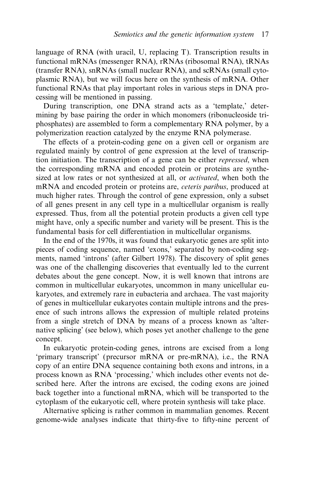language of RNA (with uracil, U, replacing T). Transcription results in functional mRNAs (messenger RNA), rRNAs (ribosomal RNA), tRNAs (transfer RNA), snRNAs (small nuclear RNA), and scRNAs (small cytoplasmic RNA), but we will focus here on the synthesis of mRNA. Other functional RNAs that play important roles in various steps in DNA processing will be mentioned in passing.

During transcription, one DNA strand acts as a 'template,' determining by base pairing the order in which monomers (ribonucleoside triphosphates) are assembled to form a complementary RNA polymer, by a polymerization reaction catalyzed by the enzyme RNA polymerase.

The effects of a protein-coding gene on a given cell or organism are regulated mainly by control of gene expression at the level of transcription initiation. The transcription of a gene can be either repressed, when the corresponding mRNA and encoded protein or proteins are synthesized at low rates or not synthesized at all, or *activated*, when both the mRNA and encoded protein or proteins are, *ceteris paribus*, produced at much higher rates. Through the control of gene expression, only a subset of all genes present in any cell type in a multicellular organism is really expressed. Thus, from all the potential protein products a given cell type might have, only a specific number and variety will be present. This is the fundamental basis for cell differentiation in multicellular organisms.

In the end of the 1970s, it was found that eukaryotic genes are split into pieces of coding sequence, named 'exons,' separated by non-coding segments, named 'introns' (after Gilbert 1978). The discovery of split genes was one of the challenging discoveries that eventually led to the current debates about the gene concept. Now, it is well known that introns are common in multicellular eukaryotes, uncommon in many unicellular eukaryotes, and extremely rare in eubacteria and archaea. The vast majority of genes in multicellular eukaryotes contain multiple introns and the presence of such introns allows the expression of multiple related proteins from a single stretch of DNA by means of a process known as 'alternative splicing' (see below), which poses yet another challenge to the gene concept.

In eukaryotic protein-coding genes, introns are excised from a long 'primary transcript' (precursor mRNA or pre-mRNA), i.e., the RNA copy of an entire DNA sequence containing both exons and introns, in a process known as RNA 'processing,' which includes other events not described here. After the introns are excised, the coding exons are joined back together into a functional mRNA, which will be transported to the cytoplasm of the eukaryotic cell, where protein synthesis will take place.

Alternative splicing is rather common in mammalian genomes. Recent genome-wide analyses indicate that thirty-five to fifty-nine percent of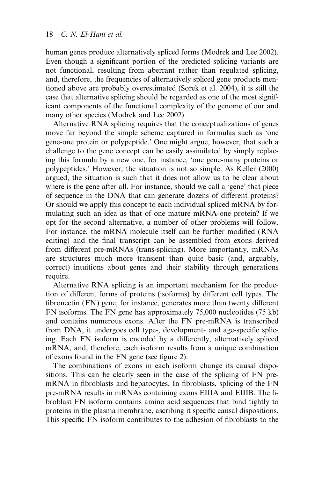human genes produce alternatively spliced forms (Modrek and Lee 2002). Even though a significant portion of the predicted splicing variants are not functional, resulting from aberrant rather than regulated splicing, and, therefore, the frequencies of alternatively spliced gene products mentioned above are probably overestimated (Sorek et al. 2004), it is still the case that alternative splicing should be regarded as one of the most significant components of the functional complexity of the genome of our and many other species (Modrek and Lee 2002).

Alternative RNA splicing requires that the conceptualizations of genes move far beyond the simple scheme captured in formulas such as 'one gene-one protein or polypeptide.' One might argue, however, that such a challenge to the gene concept can be easily assimilated by simply replacing this formula by a new one, for instance, 'one gene-many proteins or polypeptides.' However, the situation is not so simple. As Keller (2000) argued, the situation is such that it does not allow us to be clear about where is the gene after all. For instance, should we call a 'gene' that piece of sequence in the DNA that can generate dozens of different proteins? Or should we apply this concept to each individual spliced mRNA by formulating such an idea as that of one mature mRNA-one protein? If we opt for the second alternative, a number of other problems will follow. For instance, the mRNA molecule itself can be further modified (RNA editing) and the final transcript can be assembled from exons derived from different pre-mRNAs (trans-splicing). More importantly, mRNAs are structures much more transient than quite basic (and, arguably, correct) intuitions about genes and their stability through generations require.

Alternative RNA splicing is an important mechanism for the production of different forms of proteins (isoforms) by different cell types. The fibronectin (FN) gene, for instance, generates more than twenty different FN isoforms. The FN gene has approximately 75,000 nucleotides (75 kb) and contains numerous exons. After the FN pre-mRNA is transcribed from DNA, it undergoes cell type-, development- and age-specific splicing. Each FN isoform is encoded by a differently, alternatively spliced mRNA, and, therefore, each isoform results from a unique combination of exons found in the FN gene (see figure 2).

The combinations of exons in each isoform change its causal dispositions. This can be clearly seen in the case of the splicing of FN premRNA in fibroblasts and hepatocytes. In fibroblasts, splicing of the FN pre-mRNA results in mRNAs containing exons EIIIA and EIIIB. The fibroblast FN isoform contains amino acid sequences that bind tightly to proteins in the plasma membrane, ascribing it specific causal dispositions. This specific FN isoform contributes to the adhesion of fibroblasts to the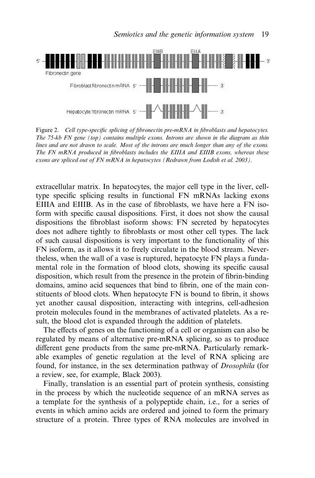

Figure 2. Cell type-specific splicing of fibronectin pre-mRNA in fibroblasts and hepatocytes. The 75-kb FN gene (top) contains multiple exons. Introns are shown in the diagram as thin lines and are not drawn to scale. Most of the introns are much longer than any of the exons. The FN mRNA produced in fibroblasts includes the EIIIA and EIIIB exons, whereas these exons are spliced out of FN mRNA in hepatocytes (Redrawn from Lodish et al. 2003).

extracellular matrix. In hepatocytes, the major cell type in the liver, celltype specific splicing results in functional FN mRNAs lacking exons EIIIA and EIIIB. As in the case of fibroblasts, we have here a FN isoform with specific causal dispositions. First, it does not show the causal dispositions the fibroblast isoform shows: FN secreted by hepatocytes does not adhere tightly to fibroblasts or most other cell types. The lack of such causal dispositions is very important to the functionality of this FN isoform, as it allows it to freely circulate in the blood stream. Nevertheless, when the wall of a vase is ruptured, hepatocyte FN plays a fundamental role in the formation of blood clots, showing its specific causal disposition, which result from the presence in the protein of fibrin-binding domains, amino acid sequences that bind to fibrin, one of the main constituents of blood clots. When hepatocyte FN is bound to fibrin, it shows yet another causal disposition, interacting with integrins, cell-adhesion protein molecules found in the membranes of activated platelets. As a result, the blood clot is expanded through the addition of platelets.

The effects of genes on the functioning of a cell or organism can also be regulated by means of alternative pre-mRNA splicing, so as to produce different gene products from the same pre-mRNA. Particularly remarkable examples of genetic regulation at the level of RNA splicing are found, for instance, in the sex determination pathway of Drosophila (for a review, see, for example, Black 2003).

Finally, translation is an essential part of protein synthesis, consisting in the process by which the nucleotide sequence of an mRNA serves as a template for the synthesis of a polypeptide chain, i.e., for a series of events in which amino acids are ordered and joined to form the primary structure of a protein. Three types of RNA molecules are involved in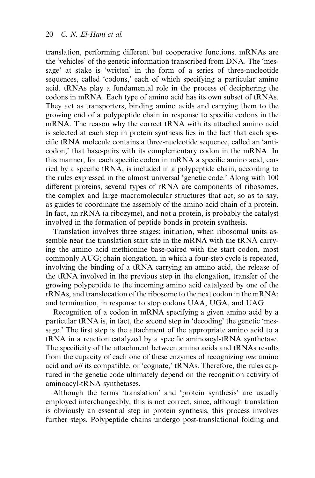translation, performing different but cooperative functions. mRNAs are the 'vehicles' of the genetic information transcribed from DNA. The 'message' at stake is 'written' in the form of a series of three-nucleotide sequences, called 'codons,' each of which specifying a particular amino acid. tRNAs play a fundamental role in the process of deciphering the codons in mRNA. Each type of amino acid has its own subset of tRNAs. They act as transporters, binding amino acids and carrying them to the growing end of a polypeptide chain in response to specific codons in the mRNA. The reason why the correct tRNA with its attached amino acid is selected at each step in protein synthesis lies in the fact that each specific tRNA molecule contains a three-nucleotide sequence, called an 'anticodon,' that base-pairs with its complementary codon in the mRNA. In this manner, for each specific codon in mRNA a specific amino acid, carried by a specific tRNA, is included in a polypeptide chain, according to the rules expressed in the almost universal 'genetic code.' Along with 100 different proteins, several types of rRNA are components of ribosomes, the complex and large macromolecular structures that act, so as to say, as guides to coordinate the assembly of the amino acid chain of a protein. In fact, an rRNA (a ribozyme), and not a protein, is probably the catalyst involved in the formation of peptide bonds in protein synthesis.

Translation involves three stages: initiation, when ribosomal units assemble near the translation start site in the mRNA with the tRNA carrying the amino acid methionine base-paired with the start codon, most commonly AUG; chain elongation, in which a four-step cycle is repeated, involving the binding of a tRNA carrying an amino acid, the release of the tRNA involved in the previous step in the elongation, transfer of the growing polypeptide to the incoming amino acid catalyzed by one of the rRNAs, and translocation of the ribosome to the next codon in the mRNA; and termination, in response to stop codons UAA, UGA, and UAG.

Recognition of a codon in mRNA specifying a given amino acid by a particular tRNA is, in fact, the second step in 'decoding' the genetic 'message.' The first step is the attachment of the appropriate amino acid to a tRNA in a reaction catalyzed by a specific aminoacyl-tRNA synthetase. The specificity of the attachment between amino acids and tRNAs results from the capacity of each one of these enzymes of recognizing one amino acid and all its compatible, or 'cognate,' tRNAs. Therefore, the rules captured in the genetic code ultimately depend on the recognition activity of aminoacyl-tRNA synthetases.

Although the terms 'translation' and 'protein synthesis' are usually employed interchangeably, this is not correct, since, although translation is obviously an essential step in protein synthesis, this process involves further steps. Polypeptide chains undergo post-translational folding and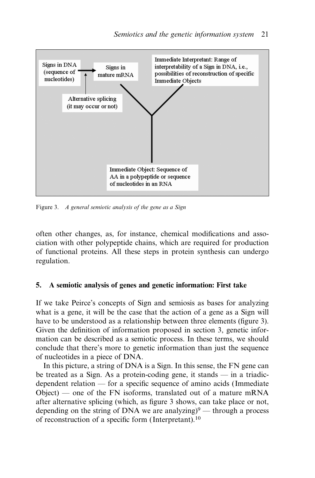

Figure 3. A general semiotic analysis of the gene as a Sign

often other changes, as, for instance, chemical modifications and association with other polypeptide chains, which are required for production of functional proteins. All these steps in protein synthesis can undergo regulation.

#### 5. A semiotic analysis of genes and genetic information: First take

If we take Peirce's concepts of Sign and semiosis as bases for analyzing what is a gene, it will be the case that the action of a gene as a Sign will have to be understood as a relationship between three elements (figure 3). Given the definition of information proposed in section 3, genetic information can be described as a semiotic process. In these terms, we should conclude that there's more to genetic information than just the sequence of nucleotides in a piece of DNA.

In this picture, a string of DNA is a Sign. In this sense, the FN gene can be treated as a Sign. As a protein-coding gene, it stands — in a triadicdependent relation — for a specific sequence of amino acids (Immediate  $Object$  — one of the FN isoforms, translated out of a mature mRNA after alternative splicing (which, as figure 3 shows, can take place or not, depending on the string of DNA we are analyzing)<sup>9</sup> — through a process of reconstruction of a specific form (Interpretant).<sup>10</sup>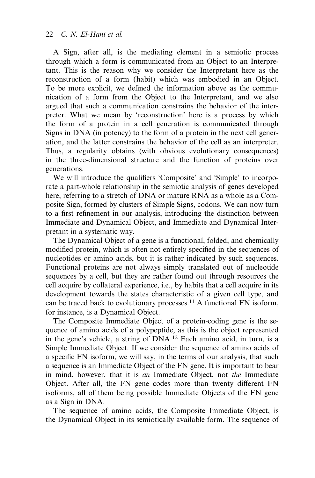A Sign, after all, is the mediating element in a semiotic process through which a form is communicated from an Object to an Interpretant. This is the reason why we consider the Interpretant here as the reconstruction of a form (habit) which was embodied in an Object. To be more explicit, we defined the information above as the communication of a form from the Object to the Interpretant, and we also argued that such a communication constrains the behavior of the interpreter. What we mean by 'reconstruction' here is a process by which the form of a protein in a cell generation is communicated through Signs in DNA (in potency) to the form of a protein in the next cell generation, and the latter constrains the behavior of the cell as an interpreter. Thus, a regularity obtains (with obvious evolutionary consequences) in the three-dimensional structure and the function of proteins over generations.

We will introduce the qualifiers 'Composite' and 'Simple' to incorporate a part-whole relationship in the semiotic analysis of genes developed here, referring to a stretch of DNA or mature RNA as a whole as a Composite Sign, formed by clusters of Simple Signs, codons. We can now turn to a first refinement in our analysis, introducing the distinction between Immediate and Dynamical Object, and Immediate and Dynamical Interpretant in a systematic way.

The Dynamical Object of a gene is a functional, folded, and chemically modified protein, which is often not entirely specified in the sequences of nucleotides or amino acids, but it is rather indicated by such sequences. Functional proteins are not always simply translated out of nucleotide sequences by a cell, but they are rather found out through resources the cell acquire by collateral experience, i.e., by habits that a cell acquire in its development towards the states characteristic of a given cell type, and can be traced back to evolutionary processes.11 A functional FN isoform, for instance, is a Dynamical Object.

The Composite Immediate Object of a protein-coding gene is the sequence of amino acids of a polypeptide, as this is the object represented in the gene's vehicle, a string of DNA.<sup>12</sup> Each amino acid, in turn, is a Simple Immediate Object. If we consider the sequence of amino acids of a specific FN isoform, we will say, in the terms of our analysis, that such a sequence is an Immediate Object of the FN gene. It is important to bear in mind, however, that it is an Immediate Object, not the Immediate Object. After all, the FN gene codes more than twenty different FN isoforms, all of them being possible Immediate Objects of the FN gene as a Sign in DNA.

The sequence of amino acids, the Composite Immediate Object, is the Dynamical Object in its semiotically available form. The sequence of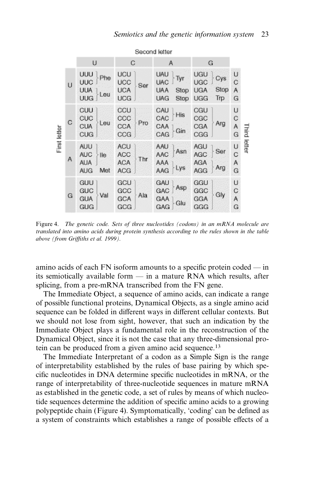

Figure 4. The genetic code. Sets of three nucleotides (codons) in an mRNA molecule are translated into amino acids during protein synthesis according to the rules shown in the table above (from Griffiths et al. 1999).

amino acids of each FN isoform amounts to a specific protein coded — in its semiotically available form — in a mature RNA which results, after splicing, from a pre-mRNA transcribed from the FN gene.

The Immediate Object, a sequence of amino acids, can indicate a range of possible functional proteins, Dynamical Objects, as a single amino acid sequence can be folded in different ways in different cellular contexts. But we should not lose from sight, however, that such an indication by the Immediate Object plays a fundamental role in the reconstruction of the Dynamical Object, since it is not the case that any three-dimensional protein can be produced from a given amino acid sequence.<sup>13</sup>

The Immediate Interpretant of a codon as a Simple Sign is the range of interpretability established by the rules of base pairing by which specific nucleotides in DNA determine specific nucleotides in mRNA, or the range of interpretability of three-nucleotide sequences in mature mRNA as established in the genetic code, a set of rules by means of which nucleotide sequences determine the addition of specific amino acids to a growing polypeptide chain (Figure 4). Symptomatically, 'coding' can be defined as a system of constraints which establishes a range of possible effects of a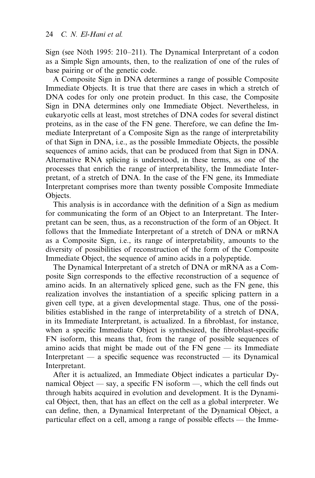Sign (see Nöth 1995: 210–211). The Dynamical Interpretant of a codon as a Simple Sign amounts, then, to the realization of one of the rules of base pairing or of the genetic code.

A Composite Sign in DNA determines a range of possible Composite Immediate Objects. It is true that there are cases in which a stretch of DNA codes for only one protein product. In this case, the Composite Sign in DNA determines only one Immediate Object. Nevertheless, in eukaryotic cells at least, most stretches of DNA codes for several distinct proteins, as in the case of the FN gene. Therefore, we can define the Immediate Interpretant of a Composite Sign as the range of interpretability of that Sign in DNA, i.e., as the possible Immediate Objects, the possible sequences of amino acids, that can be produced from that Sign in DNA. Alternative RNA splicing is understood, in these terms, as one of the processes that enrich the range of interpretability, the Immediate Interpretant, of a stretch of DNA. In the case of the FN gene, its Immediate Interpretant comprises more than twenty possible Composite Immediate Objects.

This analysis is in accordance with the definition of a Sign as medium for communicating the form of an Object to an Interpretant. The Interpretant can be seen, thus, as a reconstruction of the form of an Object. It follows that the Immediate Interpretant of a stretch of DNA or mRNA as a Composite Sign, i.e., its range of interpretability, amounts to the diversity of possibilities of reconstruction of the form of the Composite Immediate Object, the sequence of amino acids in a polypeptide.

The Dynamical Interpretant of a stretch of DNA or mRNA as a Composite Sign corresponds to the effective reconstruction of a sequence of amino acids. In an alternatively spliced gene, such as the FN gene, this realization involves the instantiation of a specific splicing pattern in a given cell type, at a given developmental stage. Thus, one of the possibilities established in the range of interpretability of a stretch of DNA, in its Immediate Interpretant, is actualized. In a fibroblast, for instance, when a specific Immediate Object is synthesized, the fibroblast-specific FN isoform, this means that, from the range of possible sequences of amino acids that might be made out of the FN gene — its Immediate Interpretant — a specific sequence was reconstructed — its Dynamical Interpretant.

After it is actualized, an Immediate Object indicates a particular Dynamical Object — say, a specific FN isoform —, which the cell finds out through habits acquired in evolution and development. It is the Dynamical Object, then, that has an effect on the cell as a global interpreter. We can define, then, a Dynamical Interpretant of the Dynamical Object, a particular effect on a cell, among a range of possible effects — the Imme-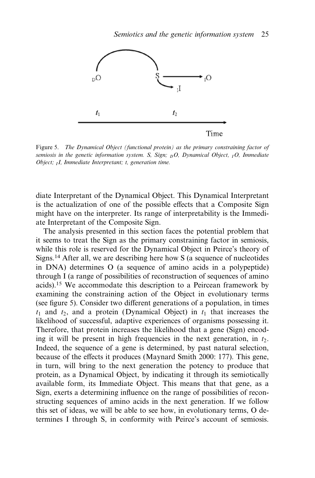

Figure 5. The Dynamical Object (functional protein) as the primary constraining factor of semiosis in the genetic information system. S, Sign;  $_D O$ , Dynamical Object,  $_D O$ , Immediate Object;  $I$ , Immediate Interpretant; t, generation time.

diate Interpretant of the Dynamical Object. This Dynamical Interpretant is the actualization of one of the possible effects that a Composite Sign might have on the interpreter. Its range of interpretability is the Immediate Interpretant of the Composite Sign.

The analysis presented in this section faces the potential problem that it seems to treat the Sign as the primary constraining factor in semiosis, while this role is reserved for the Dynamical Object in Peirce's theory of Signs.<sup>14</sup> After all, we are describing here how S (a sequence of nucleotides in DNA) determines O (a sequence of amino acids in a polypeptide) through I (a range of possibilities of reconstruction of sequences of amino acids).<sup>15</sup> We accommodate this description to a Peircean framework by examining the constraining action of the Object in evolutionary terms (see figure 5). Consider two different generations of a population, in times  $t_1$  and  $t_2$ , and a protein (Dynamical Object) in  $t_1$  that increases the likelihood of successful, adaptive experiences of organisms possessing it. Therefore, that protein increases the likelihood that a gene (Sign) encoding it will be present in high frequencies in the next generation, in  $t_2$ . Indeed, the sequence of a gene is determined, by past natural selection, because of the effects it produces (Maynard Smith 2000: 177). This gene, in turn, will bring to the next generation the potency to produce that protein, as a Dynamical Object, by indicating it through its semiotically available form, its Immediate Object. This means that that gene, as a Sign, exerts a determining influence on the range of possibilities of reconstructing sequences of amino acids in the next generation. If we follow this set of ideas, we will be able to see how, in evolutionary terms, O determines I through S, in conformity with Peirce's account of semiosis.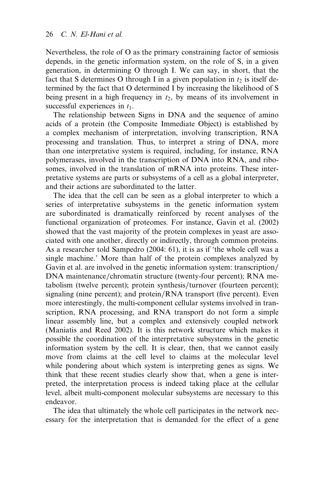Nevertheless, the role of O as the primary constraining factor of semiosis depends, in the genetic information system, on the role of S, in a given generation, in determining O through I. We can say, in short, that the fact that S determines O through I in a given population in  $t_2$  is itself determined by the fact that O determined I by increasing the likelihood of S being present in a high frequency in  $t_2$ , by means of its involvement in successful experiences in  $t_1$ .

The relationship between Signs in DNA and the sequence of amino acids of a protein (the Composite Immediate Object) is established by a complex mechanism of interpretation, involving transcription, RNA processing and translation. Thus, to interpret a string of DNA, more than one interpretative system is required, including, for instance, RNA polymerases, involved in the transcription of DNA into RNA, and ribosomes, involved in the translation of mRNA into proteins. These interpretative systems are parts or subsystems of a cell as a global interpreter, and their actions are subordinated to the latter.

The idea that the cell can be seen as a global interpreter to which a series of interpretative subsystems in the genetic information system are subordinated is dramatically reinforced by recent analyses of the functional organization of proteomes. For instance, Gavin et al. (2002) showed that the vast majority of the protein complexes in yeast are associated with one another, directly or indirectly, through common proteins. As a researcher told Sampedro (2004: 61), it is as if 'the whole cell was a single machine.' More than half of the protein complexes analyzed by Gavin et al. are involved in the genetic information system: transcription/ DNA maintenance/chromatin structure (twenty-four percent); RNA metabolism (twelve percent); protein synthesis/turnover (fourteen percent); signaling (nine percent); and protein/RNA transport (five percent). Even more interestingly, the multi-component cellular systems involved in transcription, RNA processing, and RNA transport do not form a simple linear assembly line, but a complex and extensively coupled network (Maniatis and Reed 2002). It is this network structure which makes it possible the coordination of the interpretative subsystems in the genetic information system by the cell. It is clear, then, that we cannot easily move from claims at the cell level to claims at the molecular level while pondering about which system is interpreting genes as signs. We think that these recent studies clearly show that, when a gene is interpreted, the interpretation process is indeed taking place at the cellular level, albeit multi-component molecular subsystems are necessary to this endeavor.

The idea that ultimately the whole cell participates in the network necessary for the interpretation that is demanded for the effect of a gene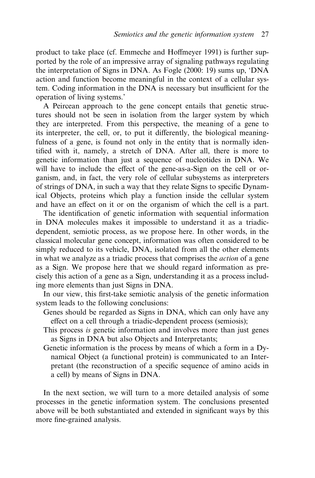product to take place (cf. Emmeche and Hoffmeyer 1991) is further supported by the role of an impressive array of signaling pathways regulating the interpretation of Signs in DNA. As Fogle (2000: 19) sums up, 'DNA action and function become meaningful in the context of a cellular system. Coding information in the DNA is necessary but insufficient for the operation of living systems.'

A Peircean approach to the gene concept entails that genetic structures should not be seen in isolation from the larger system by which they are interpreted. From this perspective, the meaning of a gene to its interpreter, the cell, or, to put it differently, the biological meaningfulness of a gene, is found not only in the entity that is normally identified with it, namely, a stretch of DNA. After all, there is more to genetic information than just a sequence of nucleotides in DNA. We will have to include the effect of the gene-as-a-Sign on the cell or organism, and, in fact, the very role of cellular subsystems as interpreters of strings of DNA, in such a way that they relate Signs to specific Dynamical Objects, proteins which play a function inside the cellular system and have an effect on it or on the organism of which the cell is a part.

The identification of genetic information with sequential information in DNA molecules makes it impossible to understand it as a triadicdependent, semiotic process, as we propose here. In other words, in the classical molecular gene concept, information was often considered to be simply reduced to its vehicle, DNA, isolated from all the other elements in what we analyze as a triadic process that comprises the action of a gene as a Sign. We propose here that we should regard information as precisely this action of a gene as a Sign, understanding it as a process including more elements than just Signs in DNA.

In our view, this first-take semiotic analysis of the genetic information system leads to the following conclusions:

- Genes should be regarded as Signs in DNA, which can only have any effect on a cell through a triadic-dependent process (semiosis);
- This process is genetic information and involves more than just genes as Signs in DNA but also Objects and Interpretants;
- Genetic information is the process by means of which a form in a Dynamical Object (a functional protein) is communicated to an Interpretant (the reconstruction of a specific sequence of amino acids in a cell) by means of Signs in DNA.

In the next section, we will turn to a more detailed analysis of some processes in the genetic information system. The conclusions presented above will be both substantiated and extended in significant ways by this more fine-grained analysis.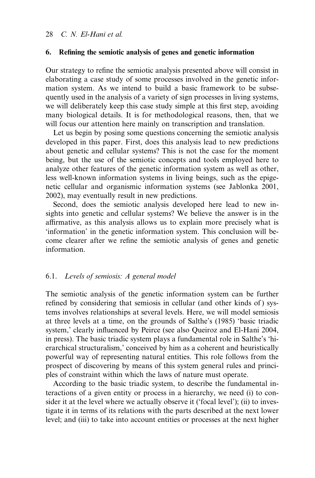#### 6. Refining the semiotic analysis of genes and genetic information

Our strategy to refine the semiotic analysis presented above will consist in elaborating a case study of some processes involved in the genetic information system. As we intend to build a basic framework to be subsequently used in the analysis of a variety of sign processes in living systems, we will deliberately keep this case study simple at this first step, avoiding many biological details. It is for methodological reasons, then, that we will focus our attention here mainly on transcription and translation.

Let us begin by posing some questions concerning the semiotic analysis developed in this paper. First, does this analysis lead to new predictions about genetic and cellular systems? This is not the case for the moment being, but the use of the semiotic concepts and tools employed here to analyze other features of the genetic information system as well as other, less well-known information systems in living beings, such as the epigenetic cellular and organismic information systems (see Jablonka 2001, 2002), may eventually result in new predictions.

Second, does the semiotic analysis developed here lead to new insights into genetic and cellular systems? We believe the answer is in the affirmative, as this analysis allows us to explain more precisely what is 'information' in the genetic information system. This conclusion will become clearer after we refine the semiotic analysis of genes and genetic information.

# 6.1. Levels of semiosis: A general model

The semiotic analysis of the genetic information system can be further refined by considering that semiosis in cellular (and other kinds of) systems involves relationships at several levels. Here, we will model semiosis at three levels at a time, on the grounds of Salthe's (1985) 'basic triadic system,' clearly influenced by Peirce (see also Queiroz and El-Hani 2004, in press). The basic triadic system plays a fundamental role in Salthe's 'hierarchical structuralism,' conceived by him as a coherent and heuristically powerful way of representing natural entities. This role follows from the prospect of discovering by means of this system general rules and principles of constraint within which the laws of nature must operate.

According to the basic triadic system, to describe the fundamental interactions of a given entity or process in a hierarchy, we need (i) to consider it at the level where we actually observe it ('focal level'); (ii) to investigate it in terms of its relations with the parts described at the next lower level; and (iii) to take into account entities or processes at the next higher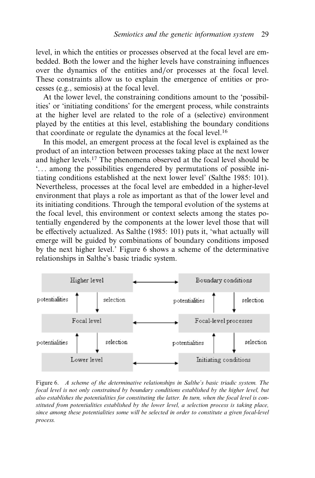level, in which the entities or processes observed at the focal level are embedded. Both the lower and the higher levels have constraining influences over the dynamics of the entities and/or processes at the focal level. These constraints allow us to explain the emergence of entities or processes (e.g., semiosis) at the focal level.

At the lower level, the constraining conditions amount to the 'possibilities' or 'initiating conditions' for the emergent process, while constraints at the higher level are related to the role of a (selective) environment played by the entities at this level, establishing the boundary conditions that coordinate or regulate the dynamics at the focal level.<sup>16</sup>

In this model, an emergent process at the focal level is explained as the product of an interaction between processes taking place at the next lower and higher levels.<sup>17</sup> The phenomena observed at the focal level should be '. . . among the possibilities engendered by permutations of possible initiating conditions established at the next lower level' (Salthe 1985: 101). Nevertheless, processes at the focal level are embedded in a higher-level environment that plays a role as important as that of the lower level and its initiating conditions. Through the temporal evolution of the systems at the focal level, this environment or context selects among the states potentially engendered by the components at the lower level those that will be effectively actualized. As Salthe (1985: 101) puts it, 'what actually will emerge will be guided by combinations of boundary conditions imposed by the next higher level.' Figure 6 shows a scheme of the determinative relationships in Salthe's basic triadic system.



Figure 6. A scheme of the determinative relationships in Salthe's basic triadic system. The focal level is not only constrained by boundary conditions established by the higher level, but also establishes the potentialities for constituting the latter. In turn, when the focal level is constituted from potentialities established by the lower level, a selection process is taking place, since among these potentialities some will be selected in order to constitute a given focal-level process.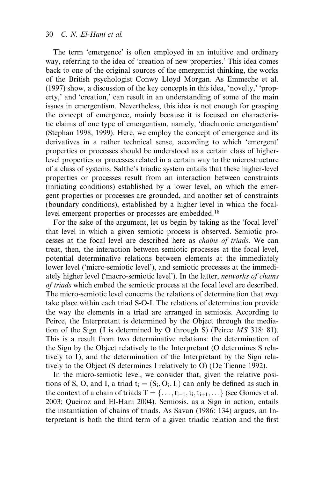The term 'emergence' is often employed in an intuitive and ordinary way, referring to the idea of 'creation of new properties.' This idea comes back to one of the original sources of the emergentist thinking, the works of the British psychologist Conwy Lloyd Morgan. As Emmeche et al. (1997) show, a discussion of the key concepts in this idea, 'novelty,' 'property,' and 'creation,' can result in an understanding of some of the main issues in emergentism. Nevertheless, this idea is not enough for grasping the concept of emergence, mainly because it is focused on characteristic claims of one type of emergentism, namely, 'diachronic emergentism' (Stephan 1998, 1999). Here, we employ the concept of emergence and its derivatives in a rather technical sense, according to which 'emergent' properties or processes should be understood as a certain class of higherlevel properties or processes related in a certain way to the microstructure of a class of systems. Salthe's triadic system entails that these higher-level properties or processes result from an interaction between constraints (initiating conditions) established by a lower level, on which the emergent properties or processes are grounded, and another set of constraints (boundary conditions), established by a higher level in which the focallevel emergent properties or processes are embedded.<sup>18</sup>

For the sake of the argument, let us begin by taking as the 'focal level' that level in which a given semiotic process is observed. Semiotic processes at the focal level are described here as chains of triads. We can treat, then, the interaction between semiotic processes at the focal level, potential determinative relations between elements at the immediately lower level ('micro-semiotic level'), and semiotic processes at the immediately higher level ('macro-semiotic level'). In the latter, networks of chains of triads which embed the semiotic process at the focal level are described. The micro-semiotic level concerns the relations of determination that *may* take place within each triad S-O-I. The relations of determination provide the way the elements in a triad are arranged in semiosis. According to Peirce, the Interpretant is determined by the Object through the mediation of the Sign (I is determined by O through S) (Peirce MS 318: 81). This is a result from two determinative relations: the determination of the Sign by the Object relatively to the Interpretant (O determines S relatively to I), and the determination of the Interpretant by the Sign relatively to the Object (S determines I relatively to O) (De Tienne 1992).

In the micro-semiotic level, we consider that, given the relative positions of S, O, and I, a triad  $t_i = (S_i, O_i, I_i)$  can only be defined as such in the context of a chain of triads  $T = \{ \dots, t_{i-1}, t_i, t_{i+1}, \dots \}$  (see Gomes et al. 2003; Queiroz and El-Hani 2004). Semiosis, as a Sign in action, entails the instantiation of chains of triads. As Savan (1986: 134) argues, an Interpretant is both the third term of a given triadic relation and the first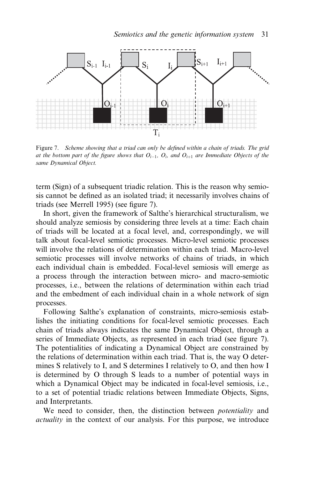

Figure 7. Scheme showing that a triad can only be defined within a chain of triads. The grid at the bottom part of the figure shows that  $O_{i-1}$ ,  $O_i$ , and  $O_{i+1}$  are Immediate Objects of the same Dynamical Object.

term (Sign) of a subsequent triadic relation. This is the reason why semiosis cannot be defined as an isolated triad; it necessarily involves chains of triads (see Merrell 1995) (see figure 7).

In short, given the framework of Salthe's hierarchical structuralism, we should analyze semiosis by considering three levels at a time: Each chain of triads will be located at a focal level, and, correspondingly, we will talk about focal-level semiotic processes. Micro-level semiotic processes will involve the relations of determination within each triad. Macro-level semiotic processes will involve networks of chains of triads, in which each individual chain is embedded. Focal-level semiosis will emerge as a process through the interaction between micro- and macro-semiotic processes, i.e., between the relations of determination within each triad and the embedment of each individual chain in a whole network of sign processes.

Following Salthe's explanation of constraints, micro-semiosis establishes the initiating conditions for focal-level semiotic processes. Each chain of triads always indicates the same Dynamical Object, through a series of Immediate Objects, as represented in each triad (see figure 7). The potentialities of indicating a Dynamical Object are constrained by the relations of determination within each triad. That is, the way O determines S relatively to I, and S determines I relatively to O, and then how I is determined by O through S leads to a number of potential ways in which a Dynamical Object may be indicated in focal-level semiosis, i.e., to a set of potential triadic relations between Immediate Objects, Signs, and Interpretants.

We need to consider, then, the distinction between *potentiality* and actuality in the context of our analysis. For this purpose, we introduce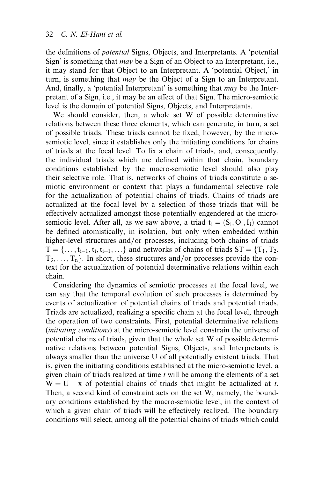the definitions of potential Signs, Objects, and Interpretants. A 'potential Sign' is something that *may* be a Sign of an Object to an Interpretant, i.e., it may stand for that Object to an Interpretant. A 'potential Object,' in turn, is something that *may* be the Object of a Sign to an Interpretant. And, finally, a 'potential Interpretant' is something that may be the Interpretant of a Sign, i.e., it may be an effect of that Sign. The micro-semiotic level is the domain of potential Signs, Objects, and Interpretants.

We should consider, then, a whole set W of possible determinative relations between these three elements, which can generate, in turn, a set of possible triads. These triads cannot be fixed, however, by the microsemiotic level, since it establishes only the initiating conditions for chains of triads at the focal level. To fix a chain of triads, and, consequently, the individual triads which are defined within that chain, boundary conditions established by the macro-semiotic level should also play their selective role. That is, networks of chains of triads constitute a semiotic environment or context that plays a fundamental selective role for the actualization of potential chains of triads. Chains of triads are actualized at the focal level by a selection of those triads that will be effectively actualized amongst those potentially engendered at the microsemiotic level. After all, as we saw above, a triad  $t_i = (S_i, O_i, I_i)$  cannot be defined atomistically, in isolation, but only when embedded within higher-level structures and/or processes, including both chains of triads  $T = \{ \ldots, t_{i-1}, t_i, t_{i+1}, \ldots \}$  and networks of chains of triads  $ST = \{T_1, T_2, \ldots \}$  $T_3, \ldots, T_n$ . In short, these structures and/or processes provide the context for the actualization of potential determinative relations within each chain.

Considering the dynamics of semiotic processes at the focal level, we can say that the temporal evolution of such processes is determined by events of actualization of potential chains of triads and potential triads. Triads are actualized, realizing a specific chain at the focal level, through the operation of two constraints. First, potential determinative relations (initiating conditions) at the micro-semiotic level constrain the universe of potential chains of triads, given that the whole set W of possible determinative relations between potential Signs, Objects, and Interpretants is always smaller than the universe U of all potentially existent triads. That is, given the initiating conditions established at the micro-semiotic level, a given chain of triads realized at time  $t$  will be among the elements of a set  $W = U - x$  of potential chains of triads that might be actualized at t. Then, a second kind of constraint acts on the set W, namely, the boundary conditions established by the macro-semiotic level, in the context of which a given chain of triads will be effectively realized. The boundary conditions will select, among all the potential chains of triads which could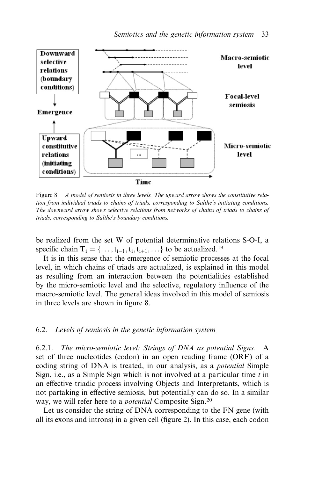

Figure 8. A model of semiosis in three levels. The upward arrow shows the constitutive relation from individual triads to chains of triads, corresponding to Salthe's initiating conditions. The downward arrow shows selective relations from networks of chains of triads to chains of triads, corresponding to Salthe's boundary conditions.

be realized from the set W of potential determinative relations S-O-I, a specific chain  $T_i = \{ \dots, t_{i-1}, t_i, t_{i+1}, \dots \}$  to be actualized.<sup>19</sup>

It is in this sense that the emergence of semiotic processes at the focal level, in which chains of triads are actualized, is explained in this model as resulting from an interaction between the potentialities established by the micro-semiotic level and the selective, regulatory influence of the macro-semiotic level. The general ideas involved in this model of semiosis in three levels are shown in figure 8.

#### 6.2. Levels of semiosis in the genetic information system

6.2.1. The micro-semiotic level: Strings of DNA as potential Signs. A set of three nucleotides (codon) in an open reading frame (ORF) of a coding string of DNA is treated, in our analysis, as a potential Simple Sign, i.e., as a Simple Sign which is not involved at a particular time  $t$  in an effective triadic process involving Objects and Interpretants, which is not partaking in effective semiosis, but potentially can do so. In a similar way, we will refer here to a *potential* Composite Sign.<sup>20</sup>

Let us consider the string of DNA corresponding to the FN gene (with all its exons and introns) in a given cell (figure 2). In this case, each codon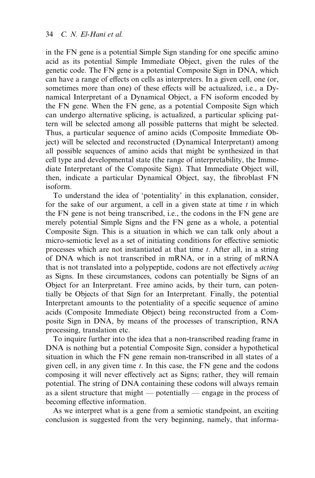in the FN gene is a potential Simple Sign standing for one specific amino acid as its potential Simple Immediate Object, given the rules of the genetic code. The FN gene is a potential Composite Sign in DNA, which can have a range of effects on cells as interpreters. In a given cell, one (or, sometimes more than one) of these effects will be actualized, i.e., a Dynamical Interpretant of a Dynamical Object, a FN isoform encoded by the FN gene. When the FN gene, as a potential Composite Sign which can undergo alternative splicing, is actualized, a particular splicing pattern will be selected among all possible patterns that might be selected. Thus, a particular sequence of amino acids (Composite Immediate Object) will be selected and reconstructed (Dynamical Interpretant) among all possible sequences of amino acids that might be synthesized in that cell type and developmental state (the range of interpretability, the Immediate Interpretant of the Composite Sign). That Immediate Object will, then, indicate a particular Dynamical Object, say, the fibroblast FN isoform.

To understand the idea of 'potentiality' in this explanation, consider, for the sake of our argument, a cell in a given state at time  $t$  in which the FN gene is not being transcribed, i.e., the codons in the FN gene are merely potential Simple Signs and the FN gene as a whole, a potential Composite Sign. This is a situation in which we can talk only about a micro-semiotic level as a set of initiating conditions for effective semiotic processes which are not instantiated at that time  $t$ . After all, in a string of DNA which is not transcribed in mRNA, or in a string of mRNA that is not translated into a polypeptide, codons are not effectively *acting* as Signs. In these circumstances, codons can potentially be Signs of an Object for an Interpretant. Free amino acids, by their turn, can potentially be Objects of that Sign for an Interpretant. Finally, the potential Interpretant amounts to the potentiality of a specific sequence of amino acids (Composite Immediate Object) being reconstructed from a Composite Sign in DNA, by means of the processes of transcription, RNA processing, translation etc.

To inquire further into the idea that a non-transcribed reading frame in DNA is nothing but a potential Composite Sign, consider a hypothetical situation in which the FN gene remain non-transcribed in all states of a given cell, in any given time  $t$ . In this case, the FN gene and the codons composing it will never effectively act as Signs; rather, they will remain potential. The string of DNA containing these codons will always remain as a silent structure that might — potentially — engage in the process of becoming effective information.

As we interpret what is a gene from a semiotic standpoint, an exciting conclusion is suggested from the very beginning, namely, that informa-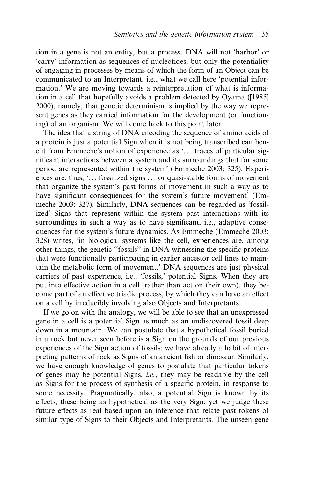tion in a gene is not an entity, but a process. DNA will not 'harbor' or 'carry' information as sequences of nucleotides, but only the potentiality of engaging in processes by means of which the form of an Object can be communicated to an Interpretant, i.e., what we call here 'potential information.' We are moving towards a reinterpretation of what is information in a cell that hopefully avoids a problem detected by Oyama ([1985] 2000), namely, that genetic determinism is implied by the way we represent genes as they carried information for the development (or functioning) of an organism. We will come back to this point later.

The idea that a string of DNA encoding the sequence of amino acids of a protein is just a potential Sign when it is not being transcribed can benefit from Emmeche's notion of experience as '. . . traces of particular significant interactions between a system and its surroundings that for some period are represented within the system' (Emmeche 2003: 325). Experiences are, thus, '... fossilized signs ... or quasi-stable forms of movement that organize the system's past forms of movement in such a way as to have significant consequences for the system's future movement' (Emmeche 2003: 327). Similarly, DNA sequences can be regarded as 'fossilized' Signs that represent within the system past interactions with its surroundings in such a way as to have significant, i.e., adaptive consequences for the system's future dynamics. As Emmeche (Emmeche 2003: 328) writes, 'in biological systems like the cell, experiences are, among other things, the genetic ''fossils'' in DNA witnessing the specific proteins that were functionally participating in earlier ancestor cell lines to maintain the metabolic form of movement.' DNA sequences are just physical carriers of past experience, i.e., 'fossils,' potential Signs. When they are put into effective action in a cell (rather than act on their own), they become part of an effective triadic process, by which they can have an effect on a cell by irreducibly involving also Objects and Interpretants.

If we go on with the analogy, we will be able to see that an unexpressed gene in a cell is a potential Sign as much as an undiscovered fossil deep down in a mountain. We can postulate that a hypothetical fossil buried in a rock but never seen before is a Sign on the grounds of our previous experiences of the Sign action of fossils: we have already a habit of interpreting patterns of rock as Signs of an ancient fish or dinosaur. Similarly, we have enough knowledge of genes to postulate that particular tokens of genes may be potential Signs, i.e., they may be readable by the cell as Signs for the process of synthesis of a specific protein, in response to some necessity. Pragmatically, also, a potential Sign is known by its effects, these being as hypothetical as the very Sign; yet we judge these future effects as real based upon an inference that relate past tokens of similar type of Signs to their Objects and Interpretants. The unseen gene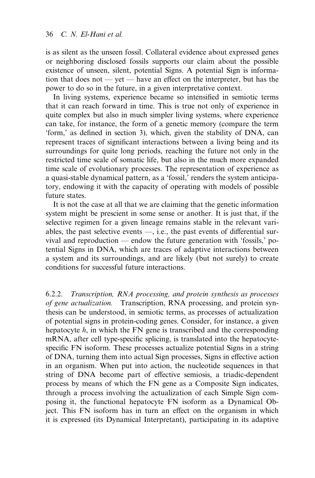is as silent as the unseen fossil. Collateral evidence about expressed genes or neighboring disclosed fossils supports our claim about the possible existence of unseen, silent, potential Signs. A potential Sign is information that does not — yet — have an effect on the interpreter, but has the power to do so in the future, in a given interpretative context.

In living systems, experience became so intensified in semiotic terms that it can reach forward in time. This is true not only of experience in quite complex but also in much simpler living systems, where experience can take, for instance, the form of a genetic memory (compare the term 'form,' as defined in section 3), which, given the stability of DNA, can represent traces of significant interactions between a living being and its surroundings for quite long periods, reaching the future not only in the restricted time scale of somatic life, but also in the much more expanded time scale of evolutionary processes. The representation of experience as a quasi-stable dynamical pattern, as a 'fossil,' renders the system anticipatory, endowing it with the capacity of operating with models of possible future states.

It is not the case at all that we are claiming that the genetic information system might be prescient in some sense or another. It is just that, if the selective regimen for a given lineage remains stable in the relevant variables, the past selective events  $-$ , i.e., the past events of differential survival and reproduction — endow the future generation with 'fossils,' potential Signs in DNA, which are traces of adaptive interactions between a system and its surroundings, and are likely (but not surely) to create conditions for successful future interactions.

6.2.2. Transcription, RNA processing, and protein synthesis as processes of gene actualization. Transcription, RNA processing, and protein synthesis can be understood, in semiotic terms, as processes of actualization of potential signs in protein-coding genes. Consider, for instance, a given hepatocyte  $h$ , in which the FN gene is transcribed and the corresponding mRNA, after cell type-specific splicing, is translated into the hepatocytespecific FN isoform. These processes actualize potential Signs in a string of DNA, turning them into actual Sign processes, Signs in effective action in an organism. When put into action, the nucleotide sequences in that string of DNA become part of effective semiosis, a triadic-dependent process by means of which the FN gene as a Composite Sign indicates, through a process involving the actualization of each Simple Sign composing it, the functional hepatocyte FN isoform as a Dynamical Object. This FN isoform has in turn an effect on the organism in which it is expressed (its Dynamical Interpretant), participating in its adaptive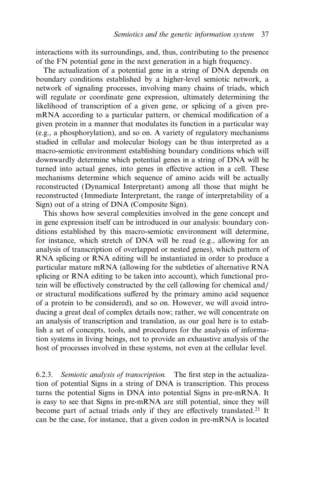interactions with its surroundings, and, thus, contributing to the presence of the FN potential gene in the next generation in a high frequency.

The actualization of a potential gene in a string of DNA depends on boundary conditions established by a higher-level semiotic network, a network of signaling processes, involving many chains of triads, which will regulate or coordinate gene expression, ultimately determining the likelihood of transcription of a given gene, or splicing of a given premRNA according to a particular pattern, or chemical modification of a given protein in a manner that modulates its function in a particular way (e.g., a phosphorylation), and so on. A variety of regulatory mechanisms studied in cellular and molecular biology can be thus interpreted as a macro-semiotic environment establishing boundary conditions which will downwardly determine which potential genes in a string of DNA will be turned into actual genes, into genes in effective action in a cell. These mechanisms determine which sequence of amino acids will be actually reconstructed (Dynamical Interpretant) among all those that might be reconstructed (Immediate Interpretant, the range of interpretability of a Sign) out of a string of DNA (Composite Sign).

This shows how several complexities involved in the gene concept and in gene expression itself can be introduced in our analysis: boundary conditions established by this macro-semiotic environment will determine, for instance, which stretch of DNA will be read (e.g., allowing for an analysis of transcription of overlapped or nested genes), which pattern of RNA splicing or RNA editing will be instantiated in order to produce a particular mature mRNA (allowing for the subtleties of alternative RNA splicing or RNA editing to be taken into account), which functional protein will be effectively constructed by the cell (allowing for chemical and/ or structural modifications suffered by the primary amino acid sequence of a protein to be considered), and so on. However, we will avoid introducing a great deal of complex details now; rather, we will concentrate on an analysis of transcription and translation, as our goal here is to establish a set of concepts, tools, and procedures for the analysis of information systems in living beings, not to provide an exhaustive analysis of the host of processes involved in these systems, not even at the cellular level.

6.2.3. Semiotic analysis of transcription. The first step in the actualization of potential Signs in a string of DNA is transcription. This process turns the potential Signs in DNA into potential Signs in pre-mRNA. It is easy to see that Signs in pre-mRNA are still potential, since they will become part of actual triads only if they are effectively translated.<sup>21</sup> It can be the case, for instance, that a given codon in pre-mRNA is located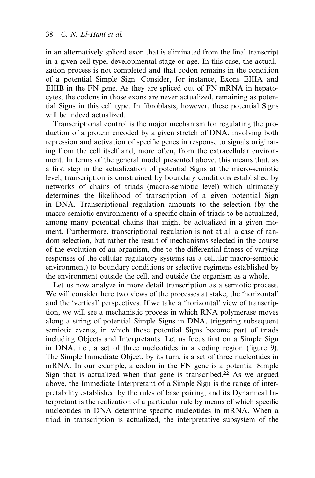in an alternatively spliced exon that is eliminated from the final transcript in a given cell type, developmental stage or age. In this case, the actualization process is not completed and that codon remains in the condition of a potential Simple Sign. Consider, for instance, Exons EIIIA and EIIIB in the FN gene. As they are spliced out of FN mRNA in hepatocytes, the codons in those exons are never actualized, remaining as potential Signs in this cell type. In fibroblasts, however, these potential Signs will be indeed actualized.

Transcriptional control is the major mechanism for regulating the production of a protein encoded by a given stretch of DNA, involving both repression and activation of specific genes in response to signals originating from the cell itself and, more often, from the extracellular environment. In terms of the general model presented above, this means that, as a first step in the actualization of potential Signs at the micro-semiotic level, transcription is constrained by boundary conditions established by networks of chains of triads (macro-semiotic level) which ultimately determines the likelihood of transcription of a given potential Sign in DNA. Transcriptional regulation amounts to the selection (by the macro-semiotic environment) of a specific chain of triads to be actualized, among many potential chains that might be actualized in a given moment. Furthermore, transcriptional regulation is not at all a case of random selection, but rather the result of mechanisms selected in the course of the evolution of an organism, due to the differential fitness of varying responses of the cellular regulatory systems (as a cellular macro-semiotic environment) to boundary conditions or selective regimens established by the environment outside the cell, and outside the organism as a whole.

Let us now analyze in more detail transcription as a semiotic process. We will consider here two views of the processes at stake, the 'horizontal' and the 'vertical' perspectives. If we take a 'horizontal' view of transcription, we will see a mechanistic process in which RNA polymerase moves along a string of potential Simple Signs in DNA, triggering subsequent semiotic events, in which those potential Signs become part of triads including Objects and Interpretants. Let us focus first on a Simple Sign in DNA, i.e., a set of three nucleotides in a coding region (figure 9). The Simple Immediate Object, by its turn, is a set of three nucleotides in mRNA. In our example, a codon in the FN gene is a potential Simple Sign that is actualized when that gene is transcribed.<sup>22</sup> As we argued above, the Immediate Interpretant of a Simple Sign is the range of interpretability established by the rules of base pairing, and its Dynamical Interpretant is the realization of a particular rule by means of which specific nucleotides in DNA determine specific nucleotides in mRNA. When a triad in transcription is actualized, the interpretative subsystem of the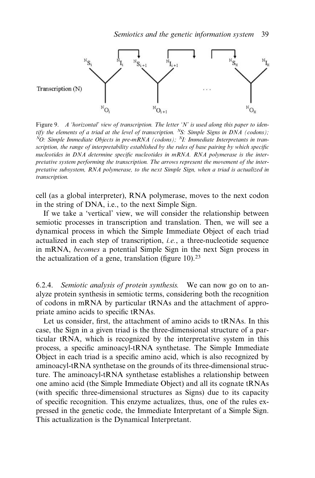

Figure 9. A 'horizontal' view of transcription. The letter 'N' is used along this paper to identify the elements of a triad at the level of transcription. <sup>N</sup>S: Simple Signs in DNA (codons);  $N$ O: Simple Immediate Objects in pre-mRNA (codons); <sup>N</sup>I: Immediate Interpretants in transcription, the range of interpretability established by the rules of base pairing by which specific nucleotides in DNA determine specific nucleotides in mRNA. RNA polymerase is the interpretative system performing the transcription. The arrows represent the movement of the interpretative subsystem, RNA polymerase, to the next Simple Sign, when a triad is actualized in transcription.

cell (as a global interpreter), RNA polymerase, moves to the next codon in the string of DNA, i.e., to the next Simple Sign.

If we take a 'vertical' view, we will consider the relationship between semiotic processes in transcription and translation. Then, we will see a dynamical process in which the Simple Immediate Object of each triad actualized in each step of transcription, i.e., a three-nucleotide sequence in mRNA, *becomes* a potential Simple Sign in the next Sign process in the actualization of a gene, translation (figure  $10^{23}$ ).

6.2.4. Semiotic analysis of protein synthesis. We can now go on to analyze protein synthesis in semiotic terms, considering both the recognition of codons in mRNA by particular tRNAs and the attachment of appropriate amino acids to specific tRNAs.

Let us consider, first, the attachment of amino acids to tRNAs. In this case, the Sign in a given triad is the three-dimensional structure of a particular tRNA, which is recognized by the interpretative system in this process, a specific aminoacyl-tRNA synthetase. The Simple Immediate Object in each triad is a specific amino acid, which is also recognized by aminoacyl-tRNA synthetase on the grounds of its three-dimensional structure. The aminoacyl-tRNA synthetase establishes a relationship between one amino acid (the Simple Immediate Object) and all its cognate tRNAs (with specific three-dimensional structures as Signs) due to its capacity of specific recognition. This enzyme actualizes, thus, one of the rules expressed in the genetic code, the Immediate Interpretant of a Simple Sign. This actualization is the Dynamical Interpretant.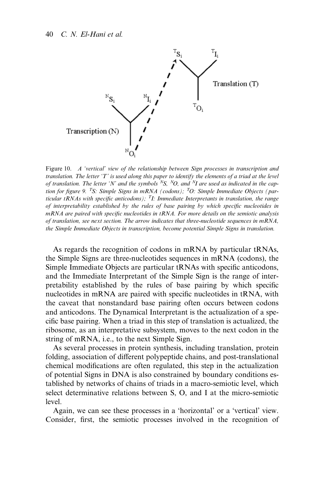

Figure 10. A 'vertical' view of the relationship between Sign processes in transcription and translation. The letter 'T' is used along this paper to identify the elements of a triad at the level of translation. The letter 'N' and the symbols  ${}^N\!S$ ,  ${}^N\!O$ , and  ${}^N\!I$  are used as indicated in the caption for figure 9. <sup>T</sup>S: Simple Signs in mRNA (codons); <sup>T</sup>O: Simple Immediate Objects (particular tRNAs with specific anticodons);  $T_I$ : Immediate Interpretants in translation, the range of interpretability established by the rules of base pairing by which specific nucleotides in mRNA are paired with specific nucleotides in tRNA. For more details on the semiotic analysis of translation, see next section. The arrow indicates that three-nucleotide sequences in  $mRNA$ , the Simple Immediate Objects in transcription, become potential Simple Signs in translation.

As regards the recognition of codons in mRNA by particular tRNAs, the Simple Signs are three-nucleotides sequences in mRNA (codons), the Simple Immediate Objects are particular tRNAs with specific anticodons, and the Immediate Interpretant of the Simple Sign is the range of interpretability established by the rules of base pairing by which specific nucleotides in mRNA are paired with specific nucleotides in tRNA, with the caveat that nonstandard base pairing often occurs between codons and anticodons. The Dynamical Interpretant is the actualization of a specific base pairing. When a triad in this step of translation is actualized, the ribosome, as an interpretative subsystem, moves to the next codon in the string of mRNA, i.e., to the next Simple Sign.

As several processes in protein synthesis, including translation, protein folding, association of different polypeptide chains, and post-translational chemical modifications are often regulated, this step in the actualization of potential Signs in DNA is also constrained by boundary conditions established by networks of chains of triads in a macro-semiotic level, which select determinative relations between S, O, and I at the micro-semiotic level.

Again, we can see these processes in a 'horizontal' or a 'vertical' view. Consider, first, the semiotic processes involved in the recognition of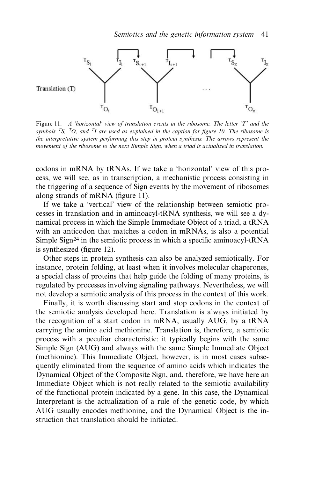

Figure 11. A 'horizontal' view of translation events in the ribosome. The letter 'T' and the symbols <sup>T</sup>S, <sup>T</sup>O, and <sup>T</sup>I are used as explained in the caption for figure 10. The ribosome is the interpretative system performing this step in protein synthesis. The arrows represent the movement of the ribosome to the next Simple Sign, when a triad is actualized in translation.

codons in mRNA by tRNAs. If we take a 'horizontal' view of this process, we will see, as in transcription, a mechanistic process consisting in the triggering of a sequence of Sign events by the movement of ribosomes along strands of mRNA (figure 11).

If we take a 'vertical' view of the relationship between semiotic processes in translation and in aminoacyl-tRNA synthesis, we will see a dynamical process in which the Simple Immediate Object of a triad, a tRNA with an anticodon that matches a codon in mRNAs, is also a potential Simple Sign<sup>24</sup> in the semiotic process in which a specific aminoacyl- $tRNA$ is synthesized (figure 12).

Other steps in protein synthesis can also be analyzed semiotically. For instance, protein folding, at least when it involves molecular chaperones, a special class of proteins that help guide the folding of many proteins, is regulated by processes involving signaling pathways. Nevertheless, we will not develop a semiotic analysis of this process in the context of this work.

Finally, it is worth discussing start and stop codons in the context of the semiotic analysis developed here. Translation is always initiated by the recognition of a start codon in mRNA, usually AUG, by a tRNA carrying the amino acid methionine. Translation is, therefore, a semiotic process with a peculiar characteristic: it typically begins with the same Simple Sign (AUG) and always with the same Simple Immediate Object (methionine). This Immediate Object, however, is in most cases subsequently eliminated from the sequence of amino acids which indicates the Dynamical Object of the Composite Sign, and, therefore, we have here an Immediate Object which is not really related to the semiotic availability of the functional protein indicated by a gene. In this case, the Dynamical Interpretant is the actualization of a rule of the genetic code, by which AUG usually encodes methionine, and the Dynamical Object is the instruction that translation should be initiated.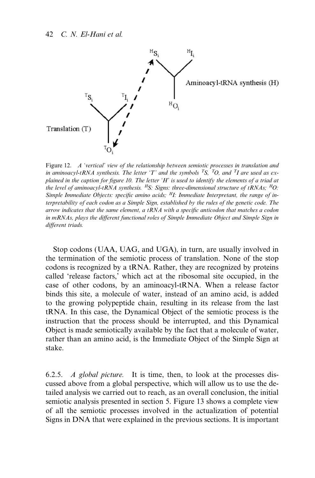

Figure 12. A 'vertical' view of the relationship between semiotic processes in translation and in aminoacyl-tRNA synthesis. The letter 'T' and the symbols <sup>T</sup>S, <sup>T</sup>O, and <sup>T</sup>I are used as explained in the caption for figure 10. The letter  $H'$  is used to identify the elements of a triad at the level of aminoacyl-tRNA synthesis.  $^{H}S$ : Signs: three-dimensional structure of tRNAs;  $^{H}O$ : Simple Immediate Objects: specific amino acids;  $H$ . Immediate Interpretant, the range of interpretability of each codon as a Simple Sign, established by the rules of the genetic code. The arrow indicates that the same element, a tRNA with a specific anticodon that matches a codon in mRNAs, plays the different functional roles of Simple Immediate Object and Simple Sign in different triads.

Stop codons (UAA, UAG, and UGA), in turn, are usually involved in the termination of the semiotic process of translation. None of the stop codons is recognized by a tRNA. Rather, they are recognized by proteins called 'release factors,' which act at the ribosomal site occupied, in the case of other codons, by an aminoacyl-tRNA. When a release factor binds this site, a molecule of water, instead of an amino acid, is added to the growing polypeptide chain, resulting in its release from the last tRNA. In this case, the Dynamical Object of the semiotic process is the instruction that the process should be interrupted, and this Dynamical Object is made semiotically available by the fact that a molecule of water, rather than an amino acid, is the Immediate Object of the Simple Sign at stake.

6.2.5. A global picture. It is time, then, to look at the processes discussed above from a global perspective, which will allow us to use the detailed analysis we carried out to reach, as an overall conclusion, the initial semiotic analysis presented in section 5. Figure 13 shows a complete view of all the semiotic processes involved in the actualization of potential Signs in DNA that were explained in the previous sections. It is important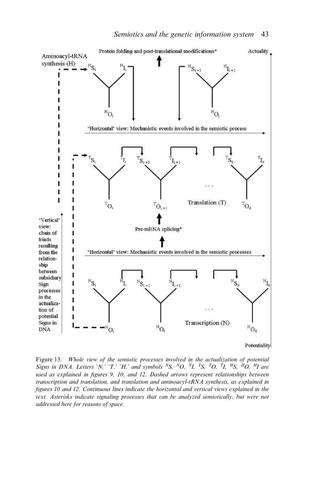

Figure 13. Whole view of the semiotic processes involved in the actualization of potential Signs in DNA. Letters 'N,' 'T,' 'H,' and symbols  ${}^N\!S$ ,  ${}^N\!O$ ,  ${}^N\!I$ ,  ${}^T\!S$ ,  ${}^T\!O$ ,  ${}^T\!I$ ,  ${}^H\!S$ ,  ${}^H\!O$ ,  ${}^H\!I$  are used as explained in figures 9, 10, and 12. Dashed arrows represent relationships between transcription and translation, and translation and aminoacyl-tRNA synthesis, as explained in figures 10 and 12. Continuous lines indicate the horizontal and vertical views explained in the text. Asterisks indicate signaling processes that can be analyzed semiotically, but were not addressed here for reasons of space.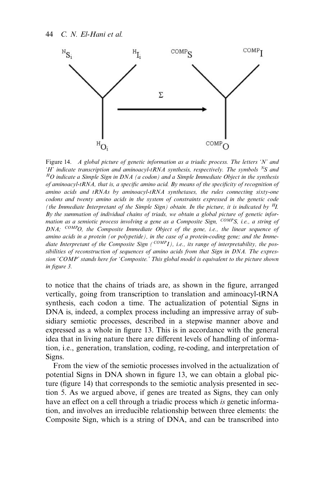

Figure 14. A global picture of genetic information as a triadic process. The letters 'N' and 'H' indicate transcription and aminoacyl-tRNA synthesis, respectively. The symbols  ${}^N\!S$  and  $H_O$  indicate a Simple Sign in DNA (a codon) and a Simple Immediate Object in the synthesis of aminoacyl-tRNA, that is, a specific amino acid. By means of the specificity of recognition of amino acids and tRNAs by aminoacyl-tRNA synthetases, the rules connecting sixty-one codons and twenty amino acids in the system of constraints expressed in the genetic code (the Immediate Interpretant of the Simple Sign) obtain. In the picture, it is indicated by  $H_I$ . By the summation of individual chains of triads, we obtain a global picture of genetic information as a semiotic process involving a gene as a Composite Sign, COMPS, i.e., a string of  $DNA$ ;  $^{COMPO}$ , the Composite Immediate Object of the gene, i.e., the linear sequence of amino acids in a protein (or polypetide), in the case of a protein-coding gene; and the Immediate Interpretant of the Composite Sign  $(^{COMP}I)$ , i.e., its range of interpretability, the possibilities of reconstruction of sequences of amino acids from that Sign in DNA. The expression 'COMP' stands here for 'Composite.' This global model is equivalent to the picture shown in figure 3.

to notice that the chains of triads are, as shown in the figure, arranged vertically, going from transcription to translation and aminoacyl-tRNA synthesis, each codon a time. The actualization of potential Signs in DNA is, indeed, a complex process including an impressive array of subsidiary semiotic processes, described in a stepwise manner above and expressed as a whole in figure 13. This is in accordance with the general idea that in living nature there are different levels of handling of information, i.e., generation, translation, coding, re-coding, and interpretation of Signs.

From the view of the semiotic processes involved in the actualization of potential Signs in DNA shown in figure 13, we can obtain a global picture (figure 14) that corresponds to the semiotic analysis presented in section 5. As we argued above, if genes are treated as Signs, they can only have an effect on a cell through a triadic process which is genetic information, and involves an irreducible relationship between three elements: the Composite Sign, which is a string of DNA, and can be transcribed into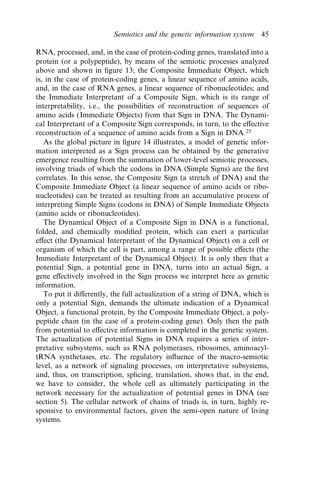RNA, processed, and, in the case of protein-coding genes, translated into a protein (or a polypeptide), by means of the semiotic processes analyzed above and shown in figure 13; the Composite Immediate Object, which is, in the case of protein-coding genes, a linear sequence of amino acids, and, in the case of RNA genes, a linear sequence of ribonucleotides; and the Immediate Interpretant of a Composite Sign, which is its range of interpretability, i.e., the possibilities of reconstruction of sequences of amino acids (Immediate Objects) from that Sign in DNA. The Dynamical Interpretant of a Composite Sign corresponds, in turn, to the effective reconstruction of a sequence of amino acids from a Sign in DNA.<sup>25</sup>

As the global picture in figure 14 illustrates, a model of genetic information interpreted as a Sign process can be obtained by the generative emergence resulting from the summation of lower-level semiotic processes, involving triads of which the codons in DNA (Simple Signs) are the first correlates. In this sense, the Composite Sign (a stretch of DNA) and the Composite Immediate Object (a linear sequence of amino acids or ribonucleotides) can be treated as resulting from an accumulative process of interpreting Simple Signs (codons in DNA) of Simple Immediate Objects (amino acids or ribonucleotides).

The Dynamical Object of a Composite Sign in DNA is a functional, folded, and chemically modified protein, which can exert a particular effect (the Dynamical Interpretant of the Dynamical Object) on a cell or organism of which the cell is part, among a range of possible effects (the Immediate Interpretant of the Dynamical Object). It is only then that a potential Sign, a potential gene in DNA, turns into an actual Sign, a gene effectively involved in the Sign process we interpret here as genetic information.

To put it differently, the full actualization of a string of DNA, which is only a potential Sign, demands the ultimate indication of a Dynamical Object, a functional protein, by the Composite Immediate Object, a polypeptide chain (in the case of a protein-coding gene). Only then the path from potential to effective information is completed in the genetic system. The actualization of potential Signs in DNA requires a series of interpretative subsystems, such as RNA polymerases, ribosomes, aminoacyltRNA synthetases, etc. The regulatory influence of the macro-semiotic level, as a network of signaling processes, on interpretative subsystems, and, thus, on transcription, splicing, translation, shows that, in the end, we have to consider, the whole cell as ultimately participating in the network necessary for the actualization of potential genes in DNA (see section 5). The cellular network of chains of triads is, in turn, highly responsive to environmental factors, given the semi-open nature of living systems.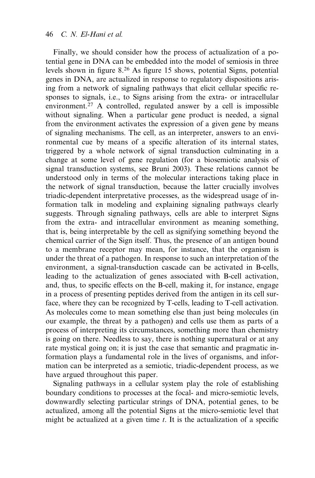Finally, we should consider how the process of actualization of a potential gene in DNA can be embedded into the model of semiosis in three levels shown in figure 8.<sup>26</sup> As figure 15 shows, potential Signs, potential genes in DNA, are actualized in response to regulatory dispositions arising from a network of signaling pathways that elicit cellular specific responses to signals, i.e., to Signs arising from the extra- or intracellular environment.<sup>27</sup> A controlled, regulated answer by a cell is impossible without signaling. When a particular gene product is needed, a signal from the environment activates the expression of a given gene by means of signaling mechanisms. The cell, as an interpreter, answers to an environmental cue by means of a specific alteration of its internal states, triggered by a whole network of signal transduction culminating in a change at some level of gene regulation (for a biosemiotic analysis of signal transduction systems, see Bruni 2003). These relations cannot be understood only in terms of the molecular interactions taking place in the network of signal transduction, because the latter crucially involves triadic-dependent interpretative processes, as the widespread usage of information talk in modeling and explaining signaling pathways clearly suggests. Through signaling pathways, cells are able to interpret Signs from the extra- and intracellular environment as meaning something, that is, being interpretable by the cell as signifying something beyond the chemical carrier of the Sign itself. Thus, the presence of an antigen bound to a membrane receptor may mean, for instance, that the organism is under the threat of a pathogen. In response to such an interpretation of the environment, a signal-transduction cascade can be activated in B-cells, leading to the actualization of genes associated with B-cell activation, and, thus, to specific effects on the B-cell, making it, for instance, engage in a process of presenting peptides derived from the antigen in its cell surface, where they can be recognized by T-cells, leading to T-cell activation. As molecules come to mean something else than just being molecules (in our example, the threat by a pathogen) and cells use them as parts of a process of interpreting its circumstances, something more than chemistry is going on there. Needless to say, there is nothing supernatural or at any rate mystical going on; it is just the case that semantic and pragmatic information plays a fundamental role in the lives of organisms, and information can be interpreted as a semiotic, triadic-dependent process, as we have argued throughout this paper.

Signaling pathways in a cellular system play the role of establishing boundary conditions to processes at the focal- and micro-semiotic levels, downwardly selecting particular strings of DNA, potential genes, to be actualized, among all the potential Signs at the micro-semiotic level that might be actualized at a given time  $t$ . It is the actualization of a specific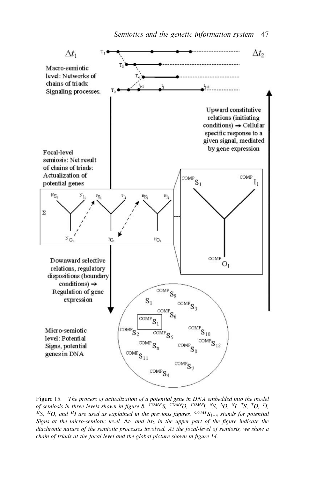

Figure 15. The process of actualization of a potential gene in DNA embedded into the model of semiosis in three levels shown in figure 8. COMPS, COMPO, COMPI, NS, NO, NI, TS, TO, TI,  ${}^{H}S$ ,  ${}^{H}O$ , and  ${}^{H}I$  are used as explained in the previous figures.  ${}^{COMP}S_{1-n}$  stands for potential Signs at the micro-semiotic level.  $\Delta t_1$  and  $\Delta t_2$  in the upper part of the figure indicate the diachronic nature of the semiotic processes involved. At the focal-level of semiosis, we show a chain of triads at the focal level and the global picture shown in figure 14.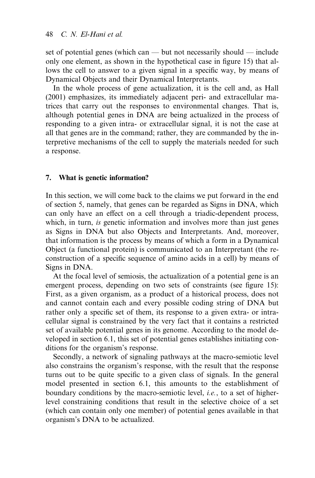set of potential genes (which can — but not necessarily should — include only one element, as shown in the hypothetical case in figure 15) that allows the cell to answer to a given signal in a specific way, by means of Dynamical Objects and their Dynamical Interpretants.

In the whole process of gene actualization, it is the cell and, as Hall (2001) emphasizes, its immediately adjacent peri- and extracellular matrices that carry out the responses to environmental changes. That is, although potential genes in DNA are being actualized in the process of responding to a given intra- or extracellular signal, it is not the case at all that genes are in the command; rather, they are commanded by the interpretive mechanisms of the cell to supply the materials needed for such a response.

# 7. What is genetic information?

In this section, we will come back to the claims we put forward in the end of section 5, namely, that genes can be regarded as Signs in DNA, which can only have an effect on a cell through a triadic-dependent process, which, in turn, *is* genetic information and involves more than just genes as Signs in DNA but also Objects and Interpretants. And, moreover, that information is the process by means of which a form in a Dynamical Object (a functional protein) is communicated to an Interpretant (the reconstruction of a specific sequence of amino acids in a cell) by means of Signs in DNA.

At the focal level of semiosis, the actualization of a potential gene is an emergent process, depending on two sets of constraints (see figure 15): First, as a given organism, as a product of a historical process, does not and cannot contain each and every possible coding string of DNA but rather only a specific set of them, its response to a given extra- or intracellular signal is constrained by the very fact that it contains a restricted set of available potential genes in its genome. According to the model developed in section 6.1, this set of potential genes establishes initiating conditions for the organism's response.

Secondly, a network of signaling pathways at the macro-semiotic level also constrains the organism's response, with the result that the response turns out to be quite specific to a given class of signals. In the general model presented in section 6.1, this amounts to the establishment of boundary conditions by the macro-semiotic level, *i.e.*, to a set of higherlevel constraining conditions that result in the selective choice of a set (which can contain only one member) of potential genes available in that organism's DNA to be actualized.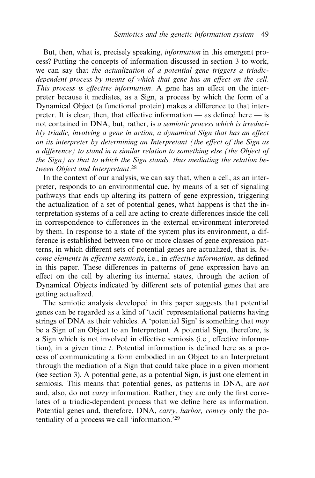But, then, what is, precisely speaking, information in this emergent process? Putting the concepts of information discussed in section 3 to work, we can say that the actualization of a potential gene triggers a triadicdependent process by means of which that gene has an effect on the cell. This process is effective information. A gene has an effect on the interpreter because it mediates, as a Sign, a process by which the form of a Dynamical Object (a functional protein) makes a difference to that interpreter. It is clear, then, that effective information — as defined here — is not contained in DNA, but, rather, is a semiotic process which is irreducibly triadic, involving a gene in action, a dynamical Sign that has an effect on its interpreter by determining an Interpretant (the effect of the Sign as a difference) to stand in a similar relation to something else (the Object of the Sign) as that to which the Sign stands, thus mediating the relation between Object and Interpretant.<sup>28</sup>

In the context of our analysis, we can say that, when a cell, as an interpreter, responds to an environmental cue, by means of a set of signaling pathways that ends up altering its pattern of gene expression, triggering the actualization of a set of potential genes, what happens is that the interpretation systems of a cell are acting to create differences inside the cell in correspondence to differences in the external environment interpreted by them. In response to a state of the system plus its environment, a difference is established between two or more classes of gene expression patterns, in which different sets of potential genes are actualized, that is,  $be$ come elements in effective semiosis, i.e., in effective information, as defined in this paper. These differences in patterns of gene expression have an effect on the cell by altering its internal states, through the action of Dynamical Objects indicated by different sets of potential genes that are getting actualized.

The semiotic analysis developed in this paper suggests that potential genes can be regarded as a kind of 'tacit' representational patterns having strings of DNA as their vehicles. A 'potential Sign' is something that *may* be a Sign of an Object to an Interpretant. A potential Sign, therefore, is a Sign which is not involved in effective semiosis (i.e., effective information), in a given time  $t$ . Potential information is defined here as a process of communicating a form embodied in an Object to an Interpretant through the mediation of a Sign that could take place in a given moment (see section 3). A potential gene, as a potential Sign, is just one element in semiosis. This means that potential genes, as patterns in DNA, are *not* and, also, do not carry information. Rather, they are only the first correlates of a triadic-dependent process that we define here as information. Potential genes and, therefore, DNA, *carry, harbor, convey* only the potentiality of a process we call 'information.'<sup>29</sup>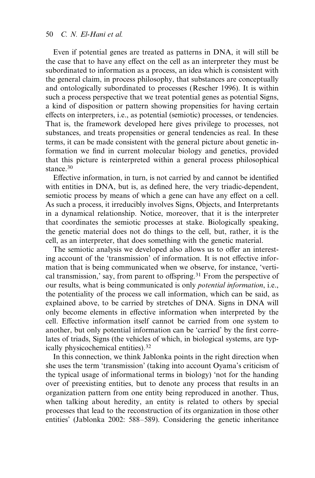Even if potential genes are treated as patterns in DNA, it will still be the case that to have any effect on the cell as an interpreter they must be subordinated to information as a process, an idea which is consistent with the general claim, in process philosophy, that substances are conceptually and ontologically subordinated to processes (Rescher 1996). It is within such a process perspective that we treat potential genes as potential Signs, a kind of disposition or pattern showing propensities for having certain effects on interpreters, i.e., as potential (semiotic) processes, or tendencies. That is, the framework developed here gives privilege to processes, not substances, and treats propensities or general tendencies as real. In these terms, it can be made consistent with the general picture about genetic information we find in current molecular biology and genetics, provided that this picture is reinterpreted within a general process philosophical stance.<sup>30</sup>

Effective information, in turn, is not carried by and cannot be identified with entities in DNA, but is, as defined here, the very triadic-dependent, semiotic process by means of which a gene can have any effect on a cell. As such a process, it irreducibly involves Signs, Objects, and Interpretants in a dynamical relationship. Notice, moreover, that it is the interpreter that coordinates the semiotic processes at stake. Biologically speaking, the genetic material does not do things to the cell, but, rather, it is the cell, as an interpreter, that does something with the genetic material.

The semiotic analysis we developed also allows us to offer an interesting account of the 'transmission' of information. It is not effective information that is being communicated when we observe, for instance, 'vertical transmission,' say, from parent to offspring.<sup>31</sup> From the perspective of our results, what is being communicated is only potential information, i.e., the potentiality of the process we call information, which can be said, as explained above, to be carried by stretches of DNA. Signs in DNA will only become elements in effective information when interpreted by the cell. Effective information itself cannot be carried from one system to another, but only potential information can be 'carried' by the first correlates of triads, Signs (the vehicles of which, in biological systems, are typically physicochemical entities).<sup>32</sup>

In this connection, we think Jablonka points in the right direction when she uses the term 'transmission' (taking into account Oyama's criticism of the typical usage of informational terms in biology) 'not for the handing over of preexisting entities, but to denote any process that results in an organization pattern from one entity being reproduced in another. Thus, when talking about heredity, an entity is related to others by special processes that lead to the reconstruction of its organization in those other entities' (Jablonka 2002: 588–589). Considering the genetic inheritance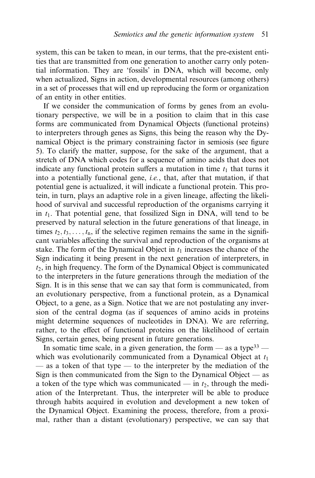system, this can be taken to mean, in our terms, that the pre-existent entities that are transmitted from one generation to another carry only potential information. They are 'fossils' in DNA, which will become, only when actualized. Signs in action, developmental resources (among others) in a set of processes that will end up reproducing the form or organization of an entity in other entities.

If we consider the communication of forms by genes from an evolutionary perspective, we will be in a position to claim that in this case forms are communicated from Dynamical Objects (functional proteins) to interpreters through genes as Signs, this being the reason why the Dynamical Object is the primary constraining factor in semiosis (see figure 5). To clarify the matter, suppose, for the sake of the argument, that a stretch of DNA which codes for a sequence of amino acids that does not indicate any functional protein suffers a mutation in time  $t_1$  that turns it into a potentially functional gene, *i.e.*, that, after that mutation, if that potential gene is actualized, it will indicate a functional protein. This protein, in turn, plays an adaptive role in a given lineage, affecting the likelihood of survival and successful reproduction of the organisms carrying it in  $t_1$ . That potential gene, that fossilized Sign in DNA, will tend to be preserved by natural selection in the future generations of that lineage, in times  $t_2, t_3, \ldots, t_n$ , if the selective regimen remains the same in the significant variables affecting the survival and reproduction of the organisms at stake. The form of the Dynamical Object in  $t_1$  increases the chance of the Sign indicating it being present in the next generation of interpreters, in  $t_2$ , in high frequency. The form of the Dynamical Object is communicated to the interpreters in the future generations through the mediation of the Sign. It is in this sense that we can say that form is communicated, from an evolutionary perspective, from a functional protein, as a Dynamical Object, to a gene, as a Sign. Notice that we are not postulating any inversion of the central dogma (as if sequences of amino acids in proteins might determine sequences of nucleotides in DNA). We are referring, rather, to the effect of functional proteins on the likelihood of certain Signs, certain genes, being present in future generations.

In somatic time scale, in a given generation, the form — as a type  $33 - 1$ which was evolutionarily communicated from a Dynamical Object at  $t_1$ — as a token of that type — to the interpreter by the mediation of the Sign is then communicated from the Sign to the Dynamical Object  $-$  as a token of the type which was communicated — in  $t_2$ , through the mediation of the Interpretant. Thus, the interpreter will be able to produce through habits acquired in evolution and development a new token of the Dynamical Object. Examining the process, therefore, from a proximal, rather than a distant (evolutionary) perspective, we can say that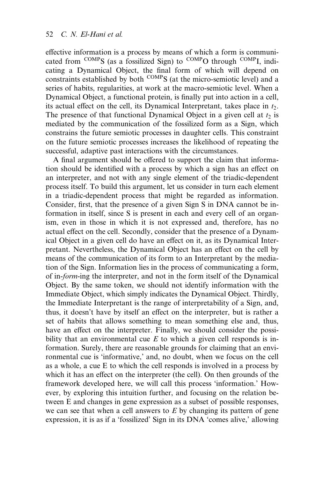effective information is a process by means of which a form is communicated from <sup>COMP</sup>S (as a fossilized Sign) to <sup>COMP</sup>O through <sup>COMP</sup>I, indicating a Dynamical Object, the final form of which will depend on constraints established by both COMPS (at the micro-semiotic level) and a series of habits, regularities, at work at the macro-semiotic level. When a Dynamical Object, a functional protein, is finally put into action in a cell, its actual effect on the cell, its Dynamical Interpretant, takes place in  $t<sub>2</sub>$ . The presence of that functional Dynamical Object in a given cell at  $t_2$  is mediated by the communication of the fossilized form as a Sign, which constrains the future semiotic processes in daughter cells. This constraint on the future semiotic processes increases the likelihood of repeating the successful, adaptive past interactions with the circumstances.

A final argument should be offered to support the claim that information should be identified with a process by which a sign has an effect on an interpreter, and not with any single element of the triadic-dependent process itself. To build this argument, let us consider in turn each element in a triadic-dependent process that might be regarded as information. Consider, first, that the presence of a given Sign S in DNA cannot be information in itself, since S is present in each and every cell of an organism, even in those in which it is not expressed and, therefore, has no actual effect on the cell. Secondly, consider that the presence of a Dynamical Object in a given cell do have an effect on it, as its Dynamical Interpretant. Nevertheless, the Dynamical Object has an effect on the cell by means of the communication of its form to an Interpretant by the mediation of the Sign. Information lies in the process of communicating a form, of in-form-ing the interpreter, and not in the form itself of the Dynamical Object. By the same token, we should not identify information with the Immediate Object, which simply indicates the Dynamical Object. Thirdly, the Immediate Interpretant is the range of interpretability of a Sign, and, thus, it doesn't have by itself an effect on the interpreter, but is rather a set of habits that allows something to mean something else and, thus, have an effect on the interpreter. Finally, we should consider the possibility that an environmental cue  $E$  to which a given cell responds is information. Surely, there are reasonable grounds for claiming that an environmental cue is 'informative,' and, no doubt, when we focus on the cell as a whole, a cue E to which the cell responds is involved in a process by which it has an effect on the interpreter (the cell). On then grounds of the framework developed here, we will call this process 'information.' However, by exploring this intuition further, and focusing on the relation between E and changes in gene expression as a subset of possible responses, we can see that when a cell answers to  $E$  by changing its pattern of gene expression, it is as if a 'fossilized' Sign in its DNA 'comes alive,' allowing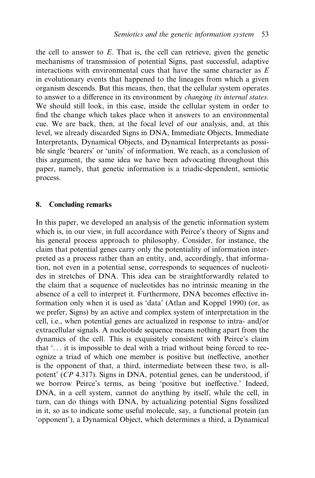the cell to answer to  $E$ . That is, the cell can retrieve, given the genetic mechanisms of transmission of potential Signs, past successful, adaptive interactions with environmental cues that have the same character as  $E$ in evolutionary events that happened to the lineages from which a given organism descends. But this means, then, that the cellular system operates to answer to a difference in its environment by *changing its internal states*. We should still look, in this case, inside the cellular system in order to find the change which takes place when it answers to an environmental cue. We are back, then, at the focal level of our analysis, and, at this level, we already discarded Signs in DNA, Immediate Objects, Immediate Interpretants, Dynamical Objects, and Dynamical Interpretants as possible single 'bearers' or 'units' of information. We reach, as a conclusion of this argument, the same idea we have been advocating throughout this paper, namely, that genetic information is a triadic-dependent, semiotic process.

#### 8. Concluding remarks

In this paper, we developed an analysis of the genetic information system which is, in our view, in full accordance with Peirce's theory of Signs and his general process approach to philosophy. Consider, for instance, the claim that potential genes carry only the potentiality of information interpreted as a process rather than an entity, and, accordingly, that information, not even in a potential sense, corresponds to sequences of nucleotides in stretches of DNA. This idea can be straightforwardly related to the claim that a sequence of nucleotides has no intrinsic meaning in the absence of a cell to interpret it. Furthermore, DNA becomes effective information only when it is used as 'data' (Atlan and Koppel 1990) (or, as we prefer, Signs) by an active and complex system of interpretation in the cell, i.e., when potential genes are actualized in response to intra- and/or extracellular signals. A nucleotide sequence means nothing apart from the dynamics of the cell. This is exquisitely consistent with Peirce's claim that '. . . it is impossible to deal with a triad without being forced to recognize a triad of which one member is positive but ineffective, another is the opponent of that, a third, intermediate between these two, is allpotent' (CP 4.317). Signs in DNA, potential genes, can be understood, if we borrow Peirce's terms, as being 'positive but ineffective.' Indeed, DNA, in a cell system, cannot do anything by itself, while the cell, in turn, can do things with DNA, by actualizing potential Signs fossilized in it, so as to indicate some useful molecule, say, a functional protein (an 'opponent'), a Dynamical Object, which determines a third, a Dynamical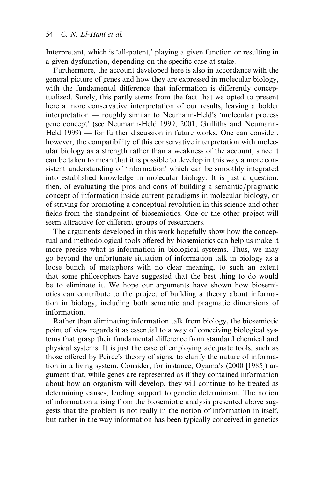Interpretant, which is 'all-potent,' playing a given function or resulting in a given dysfunction, depending on the specific case at stake.

Furthermore, the account developed here is also in accordance with the general picture of genes and how they are expressed in molecular biology, with the fundamental difference that information is differently conceptualized. Surely, this partly stems from the fact that we opted to present here a more conservative interpretation of our results, leaving a bolder interpretation — roughly similar to Neumann-Held's 'molecular process gene concept' (see Neumann-Held 1999, 2001; Griffiths and Neumann-Held 1999) — for further discussion in future works. One can consider, however, the compatibility of this conservative interpretation with molecular biology as a strength rather than a weakness of the account, since it can be taken to mean that it is possible to develop in this way a more consistent understanding of 'information' which can be smoothly integrated into established knowledge in molecular biology. It is just a question, then, of evaluating the pros and cons of building a semantic/pragmatic concept of information inside current paradigms in molecular biology, or of striving for promoting a conceptual revolution in this science and other fields from the standpoint of biosemiotics. One or the other project will seem attractive for different groups of researchers.

The arguments developed in this work hopefully show how the conceptual and methodological tools offered by biosemiotics can help us make it more precise what is information in biological systems. Thus, we may go beyond the unfortunate situation of information talk in biology as a loose bunch of metaphors with no clear meaning, to such an extent that some philosophers have suggested that the best thing to do would be to eliminate it. We hope our arguments have shown how biosemiotics can contribute to the project of building a theory about information in biology, including both semantic and pragmatic dimensions of information.

Rather than eliminating information talk from biology, the biosemiotic point of view regards it as essential to a way of conceiving biological systems that grasp their fundamental difference from standard chemical and physical systems. It is just the case of employing adequate tools, such as those offered by Peirce's theory of signs, to clarify the nature of information in a living system. Consider, for instance, Oyama's (2000 [1985]) argument that, while genes are represented as if they contained information about how an organism will develop, they will continue to be treated as determining causes, lending support to genetic determinism. The notion of information arising from the biosemiotic analysis presented above suggests that the problem is not really in the notion of information in itself, but rather in the way information has been typically conceived in genetics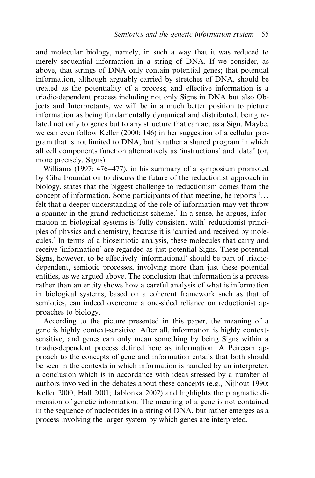and molecular biology, namely, in such a way that it was reduced to merely sequential information in a string of DNA. If we consider, as above, that strings of DNA only contain potential genes; that potential information, although arguably carried by stretches of DNA, should be treated as the potentiality of a process; and effective information is a triadic-dependent process including not only Signs in DNA but also Objects and Interpretants, we will be in a much better position to picture information as being fundamentally dynamical and distributed, being related not only to genes but to any structure that can act as a Sign. Maybe, we can even follow Keller (2000: 146) in her suggestion of a cellular program that is not limited to DNA, but is rather a shared program in which all cell components function alternatively as 'instructions' and 'data' (or, more precisely, Signs).

Williams (1997: 476–477), in his summary of a symposium promoted by Ciba Foundation to discuss the future of the reductionist approach in biology, states that the biggest challenge to reductionism comes from the concept of information. Some participants of that meeting, he reports '. . . felt that a deeper understanding of the role of information may yet throw a spanner in the grand reductionist scheme.' In a sense, he argues, information in biological systems is 'fully consistent with' reductionist principles of physics and chemistry, because it is 'carried and received by molecules.' In terms of a biosemiotic analysis, these molecules that carry and receive 'information' are regarded as just potential Signs. These potential Signs, however, to be effectively 'informational' should be part of triadicdependent, semiotic processes, involving more than just these potential entities, as we argued above. The conclusion that information is a process rather than an entity shows how a careful analysis of what is information in biological systems, based on a coherent framework such as that of semiotics, can indeed overcome a one-sided reliance on reductionist approaches to biology.

According to the picture presented in this paper, the meaning of a gene is highly context-sensitive. After all, information is highly contextsensitive, and genes can only mean something by being Signs within a triadic-dependent process defined here as information. A Peircean approach to the concepts of gene and information entails that both should be seen in the contexts in which information is handled by an interpreter, a conclusion which is in accordance with ideas stressed by a number of authors involved in the debates about these concepts (e.g., Nijhout 1990; Keller 2000; Hall 2001; Jablonka 2002) and highlights the pragmatic dimension of genetic information. The meaning of a gene is not contained in the sequence of nucleotides in a string of DNA, but rather emerges as a process involving the larger system by which genes are interpreted.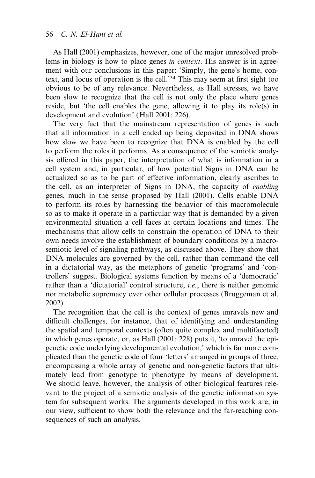As Hall (2001) emphasizes, however, one of the major unresolved problems in biology is how to place genes *in context*. His answer is in agreement with our conclusions in this paper: 'Simply, the gene's home, context, and locus of operation is the cell.'<sup>34</sup> This may seem at first sight too obvious to be of any relevance. Nevertheless, as Hall stresses, we have been slow to recognize that the cell is not only the place where genes reside, but 'the cell enables the gene, allowing it to play its role(s) in development and evolution' (Hall 2001: 226).

The very fact that the mainstream representation of genes is such that all information in a cell ended up being deposited in DNA shows how slow we have been to recognize that DNA is enabled by the cell to perform the roles it performs. As a consequence of the semiotic analysis offered in this paper, the interpretation of what is information in a cell system and, in particular, of how potential Signs in DNA can be actualized so as to be part of effective information, clearly ascribes to the cell, as an interpreter of Signs in DNA, the capacity of enabling genes, much in the sense proposed by Hall (2001). Cells enable DNA to perform its roles by harnessing the behavior of this macromolecule so as to make it operate in a particular way that is demanded by a given environmental situation a cell faces at certain locations and times. The mechanisms that allow cells to constrain the operation of DNA to their own needs involve the establishment of boundary conditions by a macrosemiotic level of signaling pathways, as discussed above. They show that DNA molecules are governed by the cell, rather than command the cell in a dictatorial way, as the metaphors of genetic 'programs' and 'controllers' suggest. Biological systems function by means of a 'democratic' rather than a 'dictatorial' control structure, *i.e.*, there is neither genomic nor metabolic supremacy over other cellular processes (Bruggeman et al. 2002).

The recognition that the cell is the context of genes unravels new and difficult challenges, for instance, that of identifying and understanding the spatial and temporal contexts (often quite complex and multifaceted) in which genes operate, or, as Hall (2001: 228) puts it, 'to unravel the epigenetic code underlying developmental evolution,' which is far more complicated than the genetic code of four 'letters' arranged in groups of three, encompassing a whole array of genetic and non-genetic factors that ultimately lead from genotype to phenotype by means of development. We should leave, however, the analysis of other biological features relevant to the project of a semiotic analysis of the genetic information system for subsequent works. The arguments developed in this work are, in our view, sufficient to show both the relevance and the far-reaching consequences of such an analysis.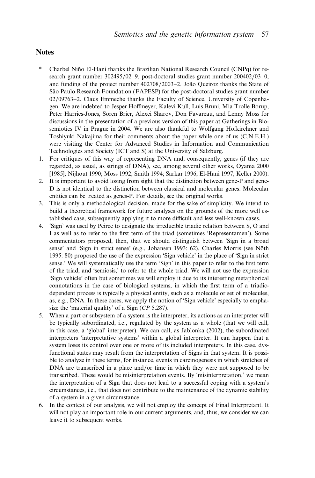#### **Notes**

- Charbel Niño El-Hani thanks the Brazilian National Research Council (CNPq) for research grant number 302495/02–9, post-doctoral studies grant number 200402/03–0, and funding of the project number  $402708/2003-2$ . João Queiroz thanks the State of São Paulo Research Foundation (FAPESP) for the post-doctoral studies grant number 02/09763–2. Claus Emmeche thanks the Faculty of Science, University of Copenhagen. We are indebted to Jesper Hoffmeyer, Kalevi Kull, Luis Bruni, Mia Trolle Borup, Peter Harries-Jones, Soren Brier, Alexei Sharov, Don Favareau, and Lenny Moss for discussions in the presentation of a previous version of this paper at Gatherings in Biosemiotics IV in Prague in 2004. We are also thankful to Wolfgang Hofkirchner and Toshiyuki Nakajima for their comments about the paper while one of us (C.N.E.H.) were visiting the Center for Advanced Studies in Information and Communication Technologies and Society (ICT and S) at the University of Salzburg.
- 1. For critiques of this way of representing DNA and, consequently, genes (if they are regarded, as usual, as strings of DNA), see, among several other works, Oyama 2000 [1985]; Nijhout 1990; Moss 1992; Smith 1994; Sarkar 1996; El-Hani 1997; Keller 2000).
- 2. It is important to avoid losing from sight that the distinction between gene-P and gene-D is not identical to the distinction between classical and molecular genes. Molecular entities can be treated as genes-P. For details, see the original works.
- 3. This is only a methodological decision, made for the sake of simplicity. We intend to build a theoretical framework for future analyses on the grounds of the more well established case, subsequently applying it to more difficult and less well-known cases.
- 4. 'Sign' was used by Peirce to designate the irreducible triadic relation between S, O and I as well as to refer to the first term of the triad (sometimes 'Representamen'). Some commentators proposed, then, that we should distinguish between 'Sign in a broad sense' and 'Sign in strict sense' (e.g., Johansen 1993: 62). Charles Morris (see Nöth 1995: 80) proposed the use of the expression 'Sign vehicle' in the place of 'Sign in strict sense.' We will systematically use the term 'Sign' in this paper to refer to the first term of the triad, and 'semiosis,' to refer to the whole triad. We will not use the expression 'Sign vehicle' often but sometimes we will employ it due to its interesting metaphorical connotations in the case of biological systems, in which the first term of a triadicdependent process is typically a physical entity, such as a molecule or set of molecules, as, e.g., DNA. In these cases, we apply the notion of 'Sign vehicle' especially to emphasize the 'material quality' of a Sign (CP 5.287).
- 5. When a part or subsystem of a system is the interpreter, its actions as an interpreter will be typically subordinated, i.e., regulated by the system as a whole (that we will call, in this case, a 'global' interpreter). We can call, as Jablonka (2002), the subordinated interpreters 'interpretative systems' within a global interpreter. It can happen that a system loses its control over one or more of its included interpreters. In this case, dysfunctional states may result from the interpretation of Signs in that system. It is possible to analyze in these terms, for instance, events in carcinogenesis in which stretches of DNA are transcribed in a place and/or time in which they were not supposed to be transcribed. These would be misinterpretation events. By 'misinterpretation,' we mean the interpretation of a Sign that does not lead to a successful coping with a system's circumstances, i.e., that does not contribute to the maintenance of the dynamic stability of a system in a given circumstance.
- 6. In the context of our analysis, we will not employ the concept of Final Interpretant. It will not play an important role in our current arguments, and, thus, we consider we can leave it to subsequent works.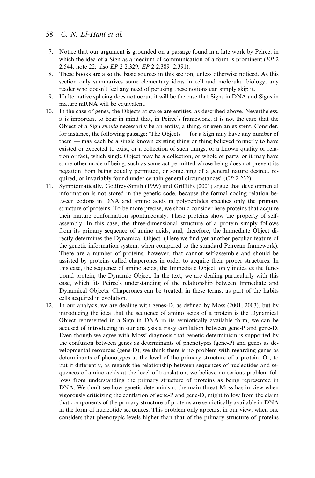- 7. Notice that our argument is grounded on a passage found in a late work by Peirce, in which the idea of a Sign as a medium of communication of a form is prominent  $(EP 2)$ 2.544, note 22; also EP 2 2:329, EP 2 2:389–2.391).
- 8. These books are also the basic sources in this section, unless otherwise noticed. As this section only summarizes some elementary ideas in cell and molecular biology, any reader who doesn't feel any need of perusing these notions can simply skip it.
- 9. If alternative splicing does not occur, it will be the case that Signs in DNA and Signs in mature mRNA will be equivalent.
- 10. In the case of genes, the Objects at stake are entities, as described above. Nevertheless, it is important to bear in mind that, in Peirce's framework, it is not the case that the Object of a Sign should necessarily be an entity, a thing, or even an existent. Consider, for instance, the following passage: 'The Objects — for a Sign may have any number of them — may each be a single known existing thing or thing believed formerly to have existed or expected to exist, or a collection of such things, or a known quality or relation or fact, which single Object may be a collection, or whole of parts, or it may have some other mode of being, such as some act permitted whose being does not prevent its negation from being equally permitted, or something of a general nature desired, required, or invariably found under certain general circumstances' (CP 2.232).
- 11. Symptomatically, Godfrey-Smith (1999) and Griffiths (2001) argue that developmental information is not stored in the genetic code, because the formal coding relation between codons in DNA and amino acids in polypeptides specifies only the primary structure of proteins. To be more precise, we should consider here proteins that acquire their mature conformation spontaneously. These proteins show the property of selfassembly. In this case, the three-dimensional structure of a protein simply follows from its primary sequence of amino acids, and, therefore, the Immediate Object directly determines the Dynamical Object. (Here we find yet another peculiar feature of the genetic information system, when compared to the standard Peircean framework). There are a number of proteins, however, that cannot self-assemble and should be assisted by proteins called chaperones in order to acquire their proper structures. In this case, the sequence of amino acids, the Immediate Object, only indicates the functional protein, the Dynamic Object. In the text, we are dealing particularly with this case, which fits Peirce's understanding of the relationship between Immediate and Dynamical Objects. Chaperones can be treated, in these terms, as part of the habits cells acquired in evolution.
- 12. In our analysis, we are dealing with genes-D, as defined by Moss (2001, 2003), but by introducing the idea that the sequence of amino acids of a protein is the Dynamical Object represented in a Sign in DNA in its semiotically available form, we can be accused of introducing in our analysis a risky conflation between gene-P and gene-D. Even though we agree with Moss' diagnosis that genetic determinism is supported by the confusion between genes as determinants of phenotypes (gene-P) and genes as developmental resources (gene-D), we think there is no problem with regarding genes as determinants of phenotypes at the level of the primary structure of a protein. Or, to put it differently, as regards the relationship between sequences of nucleotides and sequences of amino acids at the level of translation, we believe no serious problem follows from understanding the primary structure of proteins as being represented in DNA. We don't see how genetic determinism, the main threat Moss has in view when vigorously criticizing the conflation of gene-P and gene-D, might follow from the claim that components of the primary structure of proteins are semiotically available in DNA in the form of nucleotide sequences. This problem only appears, in our view, when one considers that phenotypic levels higher than that of the primary structure of proteins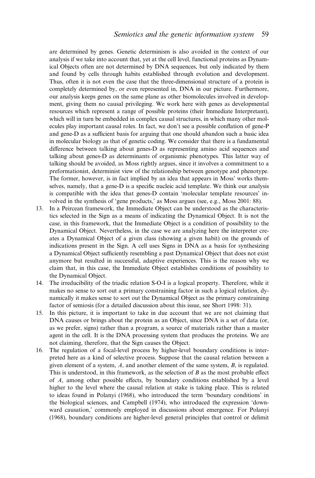are determined by genes. Genetic determinism is also avoided in the context of our analysis if we take into account that, yet at the cell level, functional proteins as Dynamical Objects often are not determined by DNA sequences, but only indicated by them and found by cells through habits established through evolution and development. Thus, often it is not even the case that the three-dimensional structure of a protein is completely determined by, or even represented in, DNA in our picture. Furthermore, our analysis keeps genes on the same plane as other biomolecules involved in development, giving them no causal privileging. We work here with genes as developmental resources which represent a range of possible proteins (their Immediate Interpretant), which will in turn be embedded in complex causal structures, in which many other molecules play important causal roles. In fact, we don't see a possible conflation of gene-P and gene-D as a sufficient basis for arguing that one should abandon such a basic idea in molecular biology as that of genetic coding. We consider that there is a fundamental difference between talking about genes-D as representing amino acid sequences and talking about genes-D as determinants of organismic phenotypes. This latter way of talking should be avoided, as Moss rightly argues, since it involves a commitment to a preformationist, determinist view of the relationship between genotype and phenotype. The former, however, is in fact implied by an idea that appears in Moss' works themselves, namely, that a gene-D is a specific nucleic acid template. We think our analysis is compatible with the idea that genes-D contain 'molecular template resources' involved in the synthesis of 'gene products,' as Moss argues (see, e.g., Moss 2001: 88).

- 13. In a Peircean framework, the Immediate Object can be understood as the characteristics selected in the Sign as a means of indicating the Dynamical Object. It is not the case, in this framework, that the Immediate Object is a condition of possibility to the Dynamical Object. Nevertheless, in the case we are analyzing here the interpreter creates a Dynamical Object of a given class (showing a given habit) on the grounds of indications present in the Sign. A cell uses Signs in DNA as a basis for synthesizing a Dynamical Object sufficiently resembling a past Dynamical Object that does not exist anymore but resulted in successful, adaptive experiences. This is the reason why we claim that, in this case, the Immediate Object establishes conditions of possibility to the Dynamical Object.
- 14. The irreducibility of the triadic relation S-O-I is a logical property. Therefore, while it makes no sense to sort out a primary constraining factor in such a logical relation, dynamically it makes sense to sort out the Dynamical Object as the primary constraining factor of semiosis (for a detailed discussion about this issue, see Short 1998: 31).
- 15. In this picture, it is important to take in due account that we are not claiming that DNA causes or brings about the protein as an Object, since DNA is a set of data (or, as we prefer, signs) rather than a program, a source of materials rather than a master agent in the cell. It is the DNA processing system that produces the proteins. We are not claiming, therefore, that the Sign causes the Object.
- 16. The regulation of a focal-level process by higher-level boundary conditions is interpreted here as a kind of selective process. Suppose that the causal relation between a given element of a system,  $A$ , and another element of the same system,  $B$ , is regulated. This is understood, in this framework, as the selection of  $B$  as the most probable effect of  $A$ , among other possible effects, by boundary conditions established by a level higher to the level where the causal relation at stake is taking place. This is related to ideas found in Polanyi (1968), who introduced the term 'boundary conditions' in the biological sciences, and Campbell (1974), who introduced the expression 'downward causation,' commonly employed in discussions about emergence. For Polanyi (1968), boundary conditions are higher-level general principles that control or delimit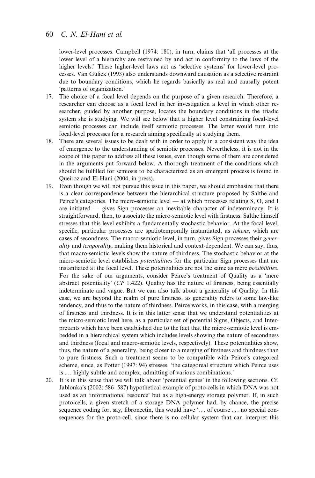lower-level processes. Campbell (1974: 180), in turn, claims that 'all processes at the lower level of a hierarchy are restrained by and act in conformity to the laws of the higher levels.' These higher-level laws act as 'selective systems' for lower-level processes. Van Gulick (1993) also understands downward causation as a selective restraint due to boundary conditions, which he regards basically as real and causally potent 'patterns of organization.'

- 17. The choice of a focal level depends on the purpose of a given research. Therefore, a researcher can choose as a focal level in her investigation a level in which other researcher, guided by another purpose, locates the boundary conditions in the triadic system she is studying. We will see below that a higher level constraining focal-level semiotic processes can include itself semiotic processes. The latter would turn into focal-level processes for a research aiming specifically at studying them.
- 18. There are several issues to be dealt with in order to apply in a consistent way the idea of emergence to the understanding of semiotic processes. Nevertheless, it is not in the scope of this paper to address all these issues, even though some of them are considered in the arguments put forward below. A thorough treatment of the conditions which should be fulfilled for semiosis to be characterized as an emergent process is found in Queiroz and El-Hani (2004, in press).
- 19. Even though we will not pursue this issue in this paper, we should emphasize that there is a clear correspondence between the hierarchical structure proposed by Salthe and Peirce's categories. The micro-semiotic level — at which processes relating S, O, and I are initiated — gives Sign processes an inevitable character of indeterminacy. It is straightforward, then, to associate the micro-semiotic level with firstness. Salthe himself stresses that this level exhibits a fundamentally stochastic behavior. At the focal level, specific, particular processes are spatiotemporally instantiated, as *tokens*, which are cases of secondness. The macro-semiotic level, in turn, gives Sign processes their generality and temporality, making them historical and context-dependent. We can say, thus, that macro-semiotic levels show the nature of thirdness. The stochastic behavior at the micro-semiotic level establishes *potentialities* for the particular Sign processes that are instantiated at the focal level. These potentialities are not the same as mere possibilities. For the sake of our arguments, consider Peirce's treatment of Quality as a 'mere abstract potentiality'  $(CP \ 1.422)$ . Quality has the nature of firstness, being essentially indeterminate and vague. But we can also talk about a generality of Quality. In this case, we are beyond the realm of pure firstness, as generality refers to some law-like tendency, and thus to the nature of thirdness. Peirce works, in this case, with a merging of firstness and thirdness. It is in this latter sense that we understand potentialities at the micro-semiotic level here, as a particular set of potential Signs, Objects, and Interpretants which have been established due to the fact that the micro-semiotic level is embedded in a hierarchical system which includes levels showing the nature of secondness and thirdness (focal and macro-semiotic levels, respectively). These potentialities show, thus, the nature of a generality, being closer to a merging of firstness and thirdness than to pure firstness. Such a treatment seems to be compatible with Peirce's categoreal scheme, since, as Potter (1997: 94) stresses, 'the categoreal structure which Peirce uses is . . . highly subtle and complex, admitting of various combinations.'
- 20. It is in this sense that we will talk about 'potential genes' in the following sections. Cf. Jablonka's (2002: 586–587) hypothetical example of proto-cells in which DNA was not used as an 'informational resource' but as a high-energy storage polymer. If, in such proto-cells, a given stretch of a storage DNA polymer had, by chance, the precise sequence coding for, say, fibronectin, this would have '... of course ... no special consequences for the proto-cell, since there is no cellular system that can interpret this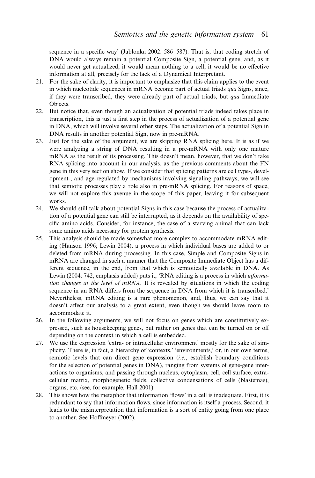sequence in a specific way' (Jablonka 2002: 586–587). That is, that coding stretch of DNA would always remain a potential Composite Sign, a potential gene, and, as it would never get actualized, it would mean nothing to a cell, it would be no effective information at all, precisely for the lack of a Dynamical Interpretant.

- 21. For the sake of clarity, it is important to emphasize that this claim applies to the event in which nucleotide sequences in mRNA become part of actual triads qua Signs, since, if they were transcribed, they were already part of actual triads, but  $qua$  Immediate Objects.
- 22. But notice that, even though an actualization of potential triads indeed takes place in transcription, this is just a first step in the process of actualization of a potential gene in DNA, which will involve several other steps. The actualization of a potential Sign in DNA results in another potential Sign, now in pre-mRNA.
- 23. Just for the sake of the argument, we are skipping RNA splicing here. It is as if we were analyzing a string of DNA resulting in a pre-mRNA with only one mature mRNA as the result of its processing. This doesn't mean, however, that we don't take RNA splicing into account in our analysis, as the previous comments about the FN gene in this very section show. If we consider that splicing patterns are cell type-, development-, and age-regulated by mechanisms involving signaling pathways, we will see that semiotic processes play a role also in pre-mRNA splicing. For reasons of space, we will not explore this avenue in the scope of this paper, leaving it for subsequent works.
- 24. We should still talk about potential Signs in this case because the process of actualization of a potential gene can still be interrupted, as it depends on the availability of specific amino acids. Consider, for instance, the case of a starving animal that can lack some amino acids necessary for protein synthesis.
- 25. This analysis should be made somewhat more complex to accommodate mRNA editing (Hanson 1996; Lewin 2004), a process in which individual bases are added to or deleted from mRNA during processing. In this case, Simple and Composite Signs in mRNA are changed in such a manner that the Composite Immediate Object has a different sequence, in the end, from that which is semiotically available in DNA. As Lewin (2004: 742, emphasis added) puts it, 'RNA editing is a process in which *informa*tion changes at the level of mRNA. It is revealed by situations in which the coding sequence in an RNA differs from the sequence in DNA from which it is transcribed.' Nevertheless, mRNA editing is a rare phenomenon, and, thus, we can say that it doesn't affect our analysis to a great extent, even though we should leave room to accommodate it.
- 26. In the following arguments, we will not focus on genes which are constitutively expressed, such as housekeeping genes, but rather on genes that can be turned on or off depending on the context in which a cell is embedded.
- 27. We use the expression 'extra- or intracellular environment' mostly for the sake of simplicity. There is, in fact, a hierarchy of 'contexts,' 'environments,' or, in our own terms, semiotic levels that can direct gene expression (*i.e.*, establish boundary conditions for the selection of potential genes in DNA), ranging from systems of gene-gene interactions to organisms, and passing through nucleus, cytoplasm, cell, cell surface, extracellular matrix, morphogenetic fields, collective condensations of cells (blastemas), organs, etc. (see, for example, Hall 2001).
- 28. This shows how the metaphor that information 'flows' in a cell is inadequate. First, it is redundant to say that information flows, since information is itself a process. Second, it leads to the misinterpretation that information is a sort of entity going from one place to another. See Hoffmeyer (2002).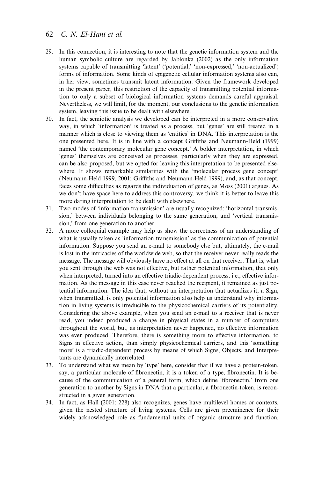- 29. In this connection, it is interesting to note that the genetic information system and the human symbolic culture are regarded by Jablonka (2002) as the only information systems capable of transmitting 'latent' ('potential,' 'non-expressed,' 'non-actualized') forms of information. Some kinds of epigenetic cellular information systems also can, in her view, sometimes transmit latent information. Given the framework developed in the present paper, this restriction of the capacity of transmitting potential information to only a subset of biological information systems demands careful appraisal. Nevertheless, we will limit, for the moment, our conclusions to the genetic information system, leaving this issue to be dealt with elsewhere.
- 30. In fact, the semiotic analysis we developed can be interpreted in a more conservative way, in which 'information' is treated as a process, but 'genes' are still treated in a manner which is close to viewing them as 'entities' in DNA. This interpretation is the one presented here. It is in line with a concept Griffiths and Neumann-Held (1999) named 'the contemporary molecular gene concept.' A bolder interpretation, in which 'genes' themselves are conceived as processes, particularly when they are expressed, can be also proposed, but we opted for leaving this interpretation to be presented elsewhere. It shows remarkable similarities with the 'molecular process gene concept' (Neumann-Held 1999, 2001; Griffiths and Neumann-Held 1999), and, as that concept, faces some difficulties as regards the individuation of genes, as Moss (2001) argues. As we don't have space here to address this controversy, we think it is better to leave this more daring interpretation to be dealt with elsewhere.
- 31. Two modes of 'information transmission' are usually recognized: 'horizontal transmission,' between individuals belonging to the same generation, and 'vertical transmission,' from one generation to another.
- 32. A more colloquial example may help us show the correctness of an understanding of what is usually taken as 'information transmission' as the communication of potential information. Suppose you send an e-mail to somebody else but, ultimately, the e-mail is lost in the intricacies of the worldwide web, so that the receiver never really reads the message. The message will obviously have no effect at all on that receiver. That is, what you sent through the web was not effective, but rather potential information, that only when interpreted, turned into an effective triadic-dependent process, i.e., effective information. As the message in this case never reached the recipient, it remained as just potential information. The idea that, without an interpretation that actualizes it, a Sign, when transmitted, is only potential information also help us understand why information in living systems is irreducible to the physicochemical carriers of its potentiality. Considering the above example, when you send an e-mail to a receiver that is never read, you indeed produced a change in physical states in a number of computers throughout the world, but, as interpretation never happened, no effective information was ever produced. Therefore, there is something more to effective information, to Signs in effective action, than simply physicochemical carriers, and this 'something more' is a triadic-dependent process by means of which Signs, Objects, and Interpretants are dynamically interrelated.
- 33. To understand what we mean by 'type' here, consider that if we have a protein-token, say, a particular molecule of fibronectin, it is a token of a type, fibronectin. It is because of the communication of a general form, which define 'fibronectin,' from one generation to another by Signs in DNA that a particular, a fibronectin-token, is reconstructed in a given generation.
- 34. In fact, as Hall (2001: 228) also recognizes, genes have multilevel homes or contexts, given the nested structure of living systems. Cells are given preeminence for their widely acknowledged role as fundamental units of organic structure and function,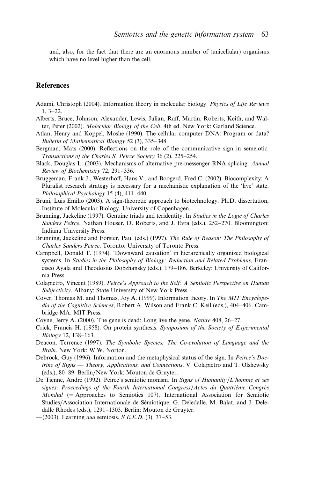and, also, for the fact that there are an enormous number of (unicellular) organisms which have no level higher than the cell.

#### **References**

- Adami, Christoph (2004). Information theory in molecular biology. Physics of Life Reviews 1, 3–22.
- Alberts, Bruce, Johnson, Alexander, Lewis, Julian, Raff, Martin, Roberts, Keith, and Walter, Peter (2002). Molecular Biology of the Cell, 4th ed. New York: Garland Science.
- Atlan, Henry and Koppel, Moshe (1990). The cellular computer DNA: Program or data? Bulletin of Mathematical Biology 52 (3), 335–348.
- Bergman, Mats (2000). Reflections on the role of the communicative sign in semeiotic. Transactions of the Charles S. Peirce Society 36 (2), 225–254.
- Black, Douglas L. (2003). Mechanisms of alternative pre-messenger RNA splicing. Annual Review of Biochemistry 72, 291–336.
- Bruggeman, Frank J., Westerhoff, Hans V., and Boogerd, Fred C. (2002). Biocomplexity: A Pluralist research strategy is necessary for a mechanistic explanation of the 'live' state. Philosophical Psychology 15 (4), 411–440.
- Bruni, Luis Emilio (2003). A sign-theoretic approach to biotechnology. Ph.D. dissertation, Institute of Molecular Biology, University of Copenhagen.
- Brunning, Jackeline (1997). Genuine triads and teridentity. In Studies in the Logic of Charles Sanders Peirce, Nathan Houser, D. Roberts, and J. Evra (eds.), 252–270. Bloomington: Indiana University Press.
- Brunning, Jackeline and Forster, Paul (eds.) (1997). The Rule of Reason: The Philosophy of Charles Sanders Peirce. Toronto: University of Toronto Press.
- Campbell, Donald T. (1974). 'Downward causation' in hierarchically organized biological systems. In Studies in the Philosophy of Biology: Reduction and Related Problems, Francisco Ayala and Theodosius Dobzhansky (eds.), 179–186. Berkeley: University of California Press.
- Colapietro, Vincent (1989). Peirce's Approach to the Self: A Semiotic Perspective on Human Subjectivity. Albany: State University of New York Press.
- Cover, Thomas M. and Thomas, Joy A. (1999). Information theory. In The MIT Encyclopedia of the Cognitive Sciences, Robert A. Wilson and Frank C. Keil (eds.), 404–406. Cambridge MA: MIT Press.
- Coyne, Jerry A. (2000). The gene is dead: Long live the gene. Nature 408, 26–27.
- Crick, Francis H. (1958). On protein synthesis. Symposium of the Society of Experimental Biology 12, 138–163.
- Deacon, Terrence (1997). The Symbolic Species: The Co-evolution of Language and the Brain. New York: W.W. Norton.
- Debrock, Guy (1996). Information and the metaphysical status of the sign. In Peirce's Doctrine of Signs — Theory, Applications, and Connections, V. Colapietro and T. Olshewsky (eds.), 80–89. Berlin/New York: Mouton de Gruyter.
- De Tienne, André (1992). Peirce's semiotic monism. In Signs of Humanity/L'homme et ses signes. Proceedings of the Fourth International Congress/Actes du Quatrième Congrès  $Mondial$  ( $=$  Approaches to Semiotics 107), International Association for Semiotic Studies/Association Internationale de Sémiotique, G. Deledalle, M. Balat, and J. Deledalle Rhodes (eds.), 1291–1303. Berlin: Mouton de Gruyter.
- (2003). Learning *qua* semiosis. *S.E.E.D.* (3),  $37-53$ .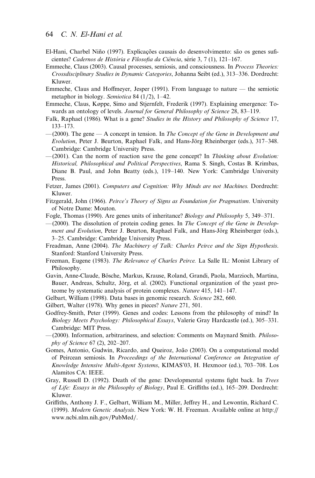- El-Hani, Charbel Niño (1997). Explicações causais do desenvolvimento: são os genes suficientes? Cadernos de História e Filosofia da Ciência, série 3, 7 (1), 121-167.
- Emmeche, Claus (2003). Causal processes, semiosis, and consciousness. In Process Theories: Crossdisciplinary Studies in Dynamic Categories, Johanna Seibt (ed.), 313–336. Dordrecht: Kluwer.
- Emmeche, Claus and Hoffmeyer, Jesper (1991). From language to nature the semiotic metaphor in biology. Semiotica 84 (1/2), 1–42.
- Emmeche, Claus, Køppe, Simo and Stjernfelt, Frederik (1997). Explaining emergence: Towards an ontology of levels. Journal for General Philosophy of Science 28, 83–119.
- Falk, Raphael (1986). What is a gene? Studies in the History and Philosophy of Science 17, 133–173.
- $-(2000)$ . The gene  $-A$  concept in tension. In The Concept of the Gene in Development and Evolution, Peter J. Beurton, Raphael Falk, and Hans-Jörg Rheinberger (eds.), 317–348. Cambridge: Cambridge University Press.
- $-(2001)$ . Can the norm of reaction save the gene concept? In Thinking about Evolution: Historical, Philosophical and Political Perspectives, Rama S. Singh, Costas B. Krimbas, Diane B. Paul, and John Beatty (eds.), 119–140. New York: Cambridge University Press.
- Fetzer, James (2001). Computers and Cognition: Why Minds are not Machines. Dordrecht: Kluwer.
- Fitzgerald, John (1966). Peirce's Theory of Signs as Foundation for Pragmatism. University of Notre Dame: Mouton.
- Fogle, Thomas (1990). Are genes units of inheritance? Biology and Philosophy 5, 349–371.
- $-(2000)$ . The dissolution of protein coding genes. In The Concept of the Gene in Development and Evolution, Peter J. Beurton, Raphael Falk, and Hans-Jörg Rheinberger (eds.), 3–25. Cambridge: Cambridge University Press.
- Freadman, Anne (2004). The Machinery of Talk: Charles Peirce and the Sign Hypothesis. Stanford: Stanford University Press.
- Freeman, Eugene (1983). The Relevance of Charles Peirce. La Salle IL: Monist Library of Philosophy.
- Gavin, Anne-Claude, Bösche, Markus, Krause, Roland, Grandi, Paola, Marzioch, Martina, Bauer, Andreas, Schultz, Jörg, et al. (2002). Functional organization of the yeast proteome by systematic analysis of protein complexes. Nature 415, 141–147.
- Gelbart, William (1998). Data bases in genomic research. Science 282, 660.
- Gilbert, Walter (1978). Why genes in pieces? Nature 271, 501.
- Godfrey-Smith, Peter (1999). Genes and codes: Lessons from the philosophy of mind? In Biology Meets Psychology: Philosophical Essays, Valerie Gray Hardcastle (ed.), 305–331. Cambridge: MIT Press.
- (2000). Information, arbitrariness, and selection: Comments on Maynard Smith. *Philoso*phy of Science 67 (2), 202–207.
- Gomes, Antonio, Gudwin, Ricardo, and Queiroz, João (2003). On a computational model of Peircean semiosis. In Proceedings of the International Conference on Integration of Knowledge Intensive Multi-Agent Systems, KIMAS'03, H. Hexmoor (ed.), 703–708. Los Alamitos CA: IEEE.
- Gray, Russell D. (1992). Death of the gene: Developmental systems fight back. In Trees of Life: Essays in the Philosophy of Biology, Paul E. Griffiths (ed.), 165–209. Dordrecht: Kluwer.
- Griffiths, Anthony J. F., Gelbart, William M., Miller, Jeffrey H., and Lewontin, Richard C. (1999). Modern Genetic Analysis. New York: W. H. Freeman. Available online at http:// www.ncbi.nlm.nih.gov/PubMed/.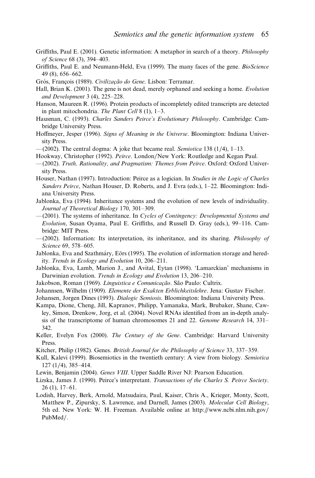- Griffiths, Paul E. (2001). Genetic information: A metaphor in search of a theory. Philosophy of Science 68 (3), 394–403.
- Griffiths, Paul E. and Neumann-Held, Eva (1999). The many faces of the gene. *BioScience* 49 (8), 656–662.
- Grós, François (1989). Civilização do Gene. Lisbon: Terramar.
- Hall, Brian K. (2001). The gene is not dead, merely orphaned and seeking a home. *Evolution* and Development 3 (4), 225–228.
- Hanson, Maureen R. (1996). Protein products of incompletely edited transcripts are detected in plant mitochondria. The Plant Cell 8 (1), 1–3.
- Hausman, C. (1993). Charles Sanders Peirce's Evolutionary Philosophy. Cambridge: Cambridge University Press.
- Hoffmeyer, Jesper (1996). Signs of Meaning in the Universe. Bloomington: Indiana University Press.
- $-(2002)$ . The central dogma: A joke that became real. Semiotica 138 (1/4), 1–13.
- Hookway, Christopher (1992). Peirce. London/New York: Routledge and Kegan Paul.
- (2002). Truth, Rationality, and Pragmatism: Themes from Peirce. Oxford: Oxford University Press.
- Houser, Nathan (1997). Introduction: Peirce as a logician. In Studies in the Logic of Charles Sanders Peirce, Nathan Houser, D. Roberts, and J. Evra (eds.), 1–22. Bloomington: Indiana University Press.
- Jablonka, Eva (1994). Inheritance systems and the evolution of new levels of individuality. Journal of Theoretical Biology 170, 301–309.
- $-(2001)$ . The systems of inheritance. In Cycles of Contingency: Developmental Systems and Evolution, Susan Oyama, Paul E. Griffiths, and Russell D. Gray (eds.), 99–116. Cambridge: MIT Press.
- (2002). Information: Its interpretation, its inheritance, and its sharing. Philosophy of Science 69, 578–605.
- Jablonka, Eva and Szathmáry, Eörs (1995). The evolution of information storage and heredity. Trends in Ecology and Evolution 10, 206–211.
- Jablonka, Eva, Lamb, Marion J., and Avital, Eytan (1998). 'Lamarckian' mechanisms in Darwinian evolution. *Trends in Ecology and Evolution* 13, 206–210.
- Jakobson, Roman (1969). Linguistica e Comunicação. São Paulo: Cultrix.
- Johannsen, Wilhelm (1909). Elemente der Exakten Erblichkeitslehre. Jena: Gustav Fischer.
- Johansen, Jorgen Dines (1993). *Dialogic Semiosis*. Bloomington: Indiana University Press.
- Kampa, Dione, Cheng, Jill, Kapranov, Philipp, Yamanaka, Mark, Brubaker, Shane, Cawley, Simon, Drenkow, Jorg, et al. (2004). Novel RNAs identified from an in-depth analysis of the transcriptome of human chromosomes 21 and 22. Genome Research 14, 331– 342.
- Keller, Evelyn Fox (2000). The Century of the Gene. Cambridge: Harvard University Press.
- Kitcher, Philip (1982). Genes. British Journal for the Philosophy of Science 33, 337–359.
- Kull, Kalevi (1999). Biosemiotics in the twentieth century: A view from biology. Semiotica 127 (1/4), 385–414.
- Lewin, Benjamin (2004). Genes VIII. Upper Saddle River NJ: Pearson Education.
- Lizska, James J. (1990). Peirce's interpretant. Transactions of the Charles S. Peirce Society. 26 (1), 17–61.
- Lodish, Harvey, Berk, Arnold, Matsudaira, Paul, Kaiser, Chris A., Krieger, Monty, Scott, Matthew P., Zipursky, S. Lawrence, and Darnell, James (2003). Molecular Cell Biology, 5th ed. New York: W. H. Freeman. Available online at http://www.ncbi.nlm.nih.gov/ PubMed/.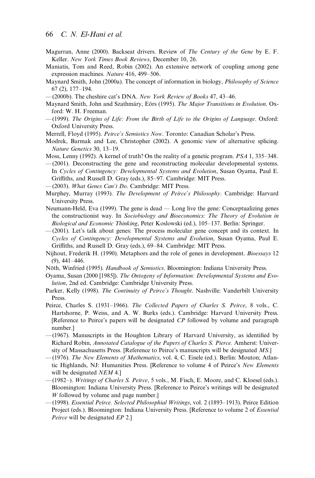- Magurran, Anne (2000). Backseat drivers. Review of The Century of the Gene by E. F. Keller. New York Times Book Reviews, December 10, 26.
- Maniatis, Tom and Reed, Robin (2002). An extensive network of coupling among gene expression machines. Nature 416, 499–506.
- Maynard Smith, John (2000a). The concept of information in biology, *Philosophy of Science* 67 (2), 177–194.
- (2000b). The cheshire cat's DNA. New York Review of Books 47, 43–46.
- Maynard Smith, John and Szathmáry, Eörs (1995). The Major Transitions in Evolution. Oxford: W. H. Freeman.
- (1999). The Origins of Life: From the Birth of Life to the Origins of Language. Oxford: Oxford University Press.
- Merrell, Floyd (1995). Peirce's Semiotics Now. Toronto: Canadian Scholar's Press.
- Modrek, Barmak and Lee, Christopher (2002). A genomic view of alternative splicing. Nature Genetics 30, 13–19.
- Moss, Lenny (1992). A kernel of truth? On the reality of a genetic program. PSA 1, 335–348.
- (2001). Deconstructing the gene and reconstructing molecular developmental systems. In Cycles of Contingency: Developmental Systems and Evolution, Susan Oyama, Paul E. Griffiths, and Russell D. Gray (eds.), 85–97. Cambridge: MIT Press.
- (2003). What Genes Can't Do. Cambridge: MIT Press.
- Murphey, Murray (1993). The Development of Peirce's Philosophy. Cambridge: Harvard University Press.
- Neumann-Held, Eva (1999). The gene is dead Long live the gene: Conceptualizing genes the constructionist way. In Sociobiology and Bioeconomics: The Theory of Evolution in Biological and Economic Thinking, Peter Koslowski (ed.), 105–137. Berlin: Springer.
- (2001). Let's talk about genes: The process molecular gene concept and its context. In Cycles of Contingency: Developmental Systems and Evolution, Susan Oyama, Paul E. Griffiths, and Russell D. Gray (eds.), 69-84. Cambridge: MIT Press.
- Nijhout, Frederik H. (1990). Metaphors and the role of genes in development. Bioessays 12 (9), 441–446.
- Nöth, Winfried (1995). Handbook of Semiotics. Bloomington: Indiana University Press.
- Oyama, Susan (2000 [1985]). The Ontogeny of Information: Developmental Systems and Evolution, 2nd ed. Cambridge: Cambridge University Press.
- Parker, Kelly (1998). The Continuity of Peirce's Thought. Nashville: Vanderbilt University Press.
- Peirce, Charles S. (1931–1966). The Collected Papers of Charles S. Peirce, 8 vols., C. Hartshorne, P. Weiss, and A. W. Burks (eds.). Cambridge: Harvard University Press. [Reference to Peirce's papers will be designated CP followed by volume and paragraph number.]
- (1967). Manuscripts in the Houghton Library of Harvard University, as identified by Richard Robin, Annotated Catalogue of the Papers of Charles S. Pierce. Amherst: University of Massachusetts Press. [Reference to Peirce's manuscripts will be designated MS.]
- (1976). The New Elements of Mathematics, vol. 4, C. Eisele (ed.). Berlin: Mouton; Atlantic Highlands, NJ: Humanities Press. [Reference to volume 4 of Peirce's New Elements will be designated NEM 4.
- (1982–). Writings of Charles S. Peirce, 5 vols., M. Fisch, E. Moore, and C. Kloesel (eds.). Bloomington: Indiana University Press. [Reference to Peirce's writings will be designated W followed by volume and page number.]
- (1998). Essential Peirce. Selected Philosophial Writings, vol. 2 (1893–1913). Peirce Edition Project (eds.). Bloomington: Indiana University Press. [Reference to volume 2 of *Essential* Peirce will be designated EP 2.]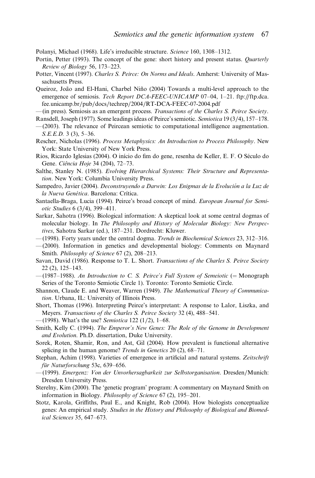Polanyi, Michael (1968). Life's irreducible structure. Science 160, 1308–1312.

- Portin, Petter (1993). The concept of the gene: short history and present status. *Quarterly* Review of Biology 56, 173–223.
- Potter, Vincent (1997). Charles S. Peirce: On Norms and Ideals. Amherst: University of Massachusetts Press.
- Queiroz, João and El-Hani, Charbel Niño (2004) Towards a multi-level approach to the emergence of semiosis. Tech Report DCA-FEEC-UNICAMP 07-04, 1-21. ftp://ftp.dca. fee.unicamp.br/pub/docs/techrep/2004/RT-DCA-FEEC-07-2004.pdf
- (in press). Semiosis as an emergent process. Transactions of the Charles S. Peirce Society.
- Ransdell, Joseph (1977). Some leadings ideas of Peirce's semiotic. Semiotica 19 (3/4), 157–178.
- (2003). The relevance of Peircean semiotic to computational intelligence augmentation. S.E.E.D. 3 (3), 5–36.
- Rescher, Nicholas (1996). Process Metaphysics: An Introduction to Process Philosophy. New York: State University of New York Press.
- Rios, Ricardo Iglesias (2004). O início do fim do gene, resenha de Keller, E. F. O Século do Gene. Ciência Hoje 34 (204), 72-73.
- Salthe, Stanley N. (1985). Evolving Hierarchical Systems: Their Structure and Representation. New York: Columbia University Press.
- Sampedro, Javier (2004). Deconstruyendo a Darwin: Los Enigmas de la Evolución a la Luz de la Nueva Genética. Barcelona: Crítica.
- Santaella-Braga, Lucia (1994). Peirce's broad concept of mind. European Journal for Semiotic Studies 6 (3/4), 399–411.
- Sarkar, Sahotra (1996). Biological information: A skeptical look at some central dogmas of molecular biology. In The Philosophy and History of Molecular Biology: New Perspectives, Sahotra Sarkar (ed.), 187–231. Dordrecht: Kluwer.
- (1998). Forty years under the central dogma. Trends in Biochemical Sciences 23, 312–316.
- (2000). Information in genetics and developmental biology: Comments on Maynard Smith. Philosophy of Science 67 (2), 208–213.
- Savan, David (1986). Response to T. L. Short. Transactions of the Charles S. Peirce Society 22 (2), 125–143.
- $-$ (1987–1988). An Introduction to C. S. Peirce's Full System of Semeiotic (= Monograph Series of the Toronto Semiotic Circle 1). Toronto: Toronto Semiotic Circle.
- Shannon, Claude E. and Weaver, Warren (1949). The Mathematical Theory of Communication. Urbana, IL: University of Illinois Press.
- Short, Thomas (1996). Interpreting Peirce's interpretant: A response to Lalor, Liszka, and Meyers. Transactions of the Charles S. Peirce Society 32 (4), 488–541.
- $-$ (1998). What's the use? Semiotica 122 (1/2), 1–68.
- Smith, Kelly C. (1994). The Emperor's New Genes: The Role of the Genome in Development and Evolution. Ph.D. dissertation, Duke University.
- Sorek, Roten, Shamir, Ron, and Ast, Gil (2004). How prevalent is functional alternative splicing in the human genome? Trends in Genetics 20 (2), 68–71.
- Stephan, Achim (1998). Varieties of emergence in artificial and natural systems. Zeitschrift für Naturforschung 53c, 639–656.
- (1999). Emergenz: Von der Unvorhersagbarkeit zur Selbstorganisation. Dresden/Munich: Dresden University Press.
- Sterelny, Kim (2000). The 'genetic program' program: A commentary on Maynard Smith on information in Biology. Philosophy of Science 67 (2), 195-201.
- Stotz, Karola, Griffiths, Paul E., and Knight, Rob (2004). How biologists conceptualize genes: An empirical study. Studies in the History and Philosophy of Biological and Biomedical Sciences 35, 647–673.